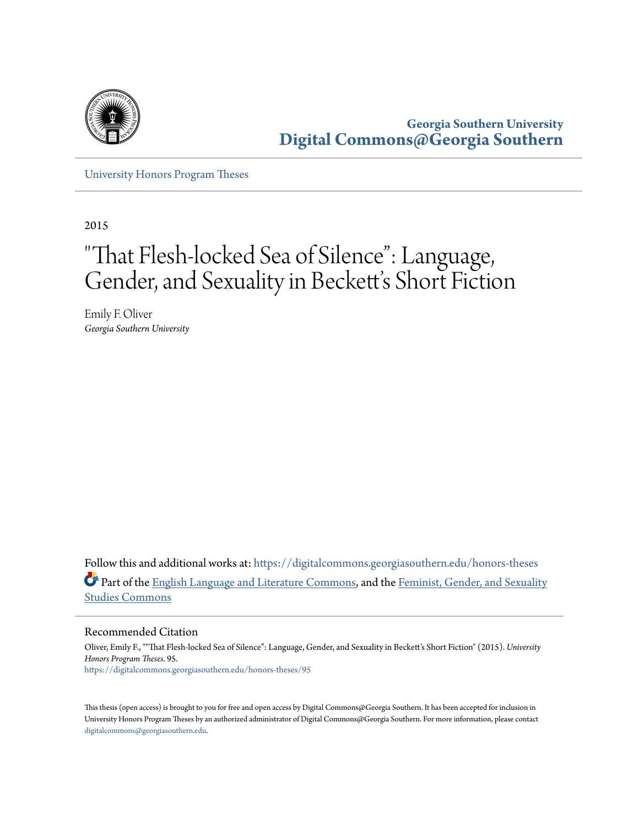

**Georgia Southern University [Digital Commons@Georgia Southern](https://digitalcommons.georgiasouthern.edu?utm_source=digitalcommons.georgiasouthern.edu%2Fhonors-theses%2F95&utm_medium=PDF&utm_campaign=PDFCoverPages)**

[University Honors Program Theses](https://digitalcommons.georgiasouthern.edu/honors-theses?utm_source=digitalcommons.georgiasouthern.edu%2Fhonors-theses%2F95&utm_medium=PDF&utm_campaign=PDFCoverPages)

2015

# "That Flesh-locked Sea of Silence": Language, Gender, and Sexuality in Beckett's Short Fiction

Emily F. Oliver *Georgia Southern University*

Follow this and additional works at: [https://digitalcommons.georgiasouthern.edu/honors-theses](https://digitalcommons.georgiasouthern.edu/honors-theses?utm_source=digitalcommons.georgiasouthern.edu%2Fhonors-theses%2F95&utm_medium=PDF&utm_campaign=PDFCoverPages) Part of the [English Language and Literature Commons](http://network.bepress.com/hgg/discipline/455?utm_source=digitalcommons.georgiasouthern.edu%2Fhonors-theses%2F95&utm_medium=PDF&utm_campaign=PDFCoverPages), and the [Feminist, Gender, and Sexuality](http://network.bepress.com/hgg/discipline/559?utm_source=digitalcommons.georgiasouthern.edu%2Fhonors-theses%2F95&utm_medium=PDF&utm_campaign=PDFCoverPages) [Studies Commons](http://network.bepress.com/hgg/discipline/559?utm_source=digitalcommons.georgiasouthern.edu%2Fhonors-theses%2F95&utm_medium=PDF&utm_campaign=PDFCoverPages)

Recommended Citation

Oliver, Emily F., ""That Flesh-locked Sea of Silence": Language, Gender, and Sexuality in Beckett's Short Fiction" (2015). *University Honors Program Theses*. 95. [https://digitalcommons.georgiasouthern.edu/honors-theses/95](https://digitalcommons.georgiasouthern.edu/honors-theses/95?utm_source=digitalcommons.georgiasouthern.edu%2Fhonors-theses%2F95&utm_medium=PDF&utm_campaign=PDFCoverPages)

This thesis (open access) is brought to you for free and open access by Digital Commons@Georgia Southern. It has been accepted for inclusion in University Honors Program Theses by an authorized administrator of Digital Commons@Georgia Southern. For more information, please contact [digitalcommons@georgiasouthern.edu.](mailto:digitalcommons@georgiasouthern.edu)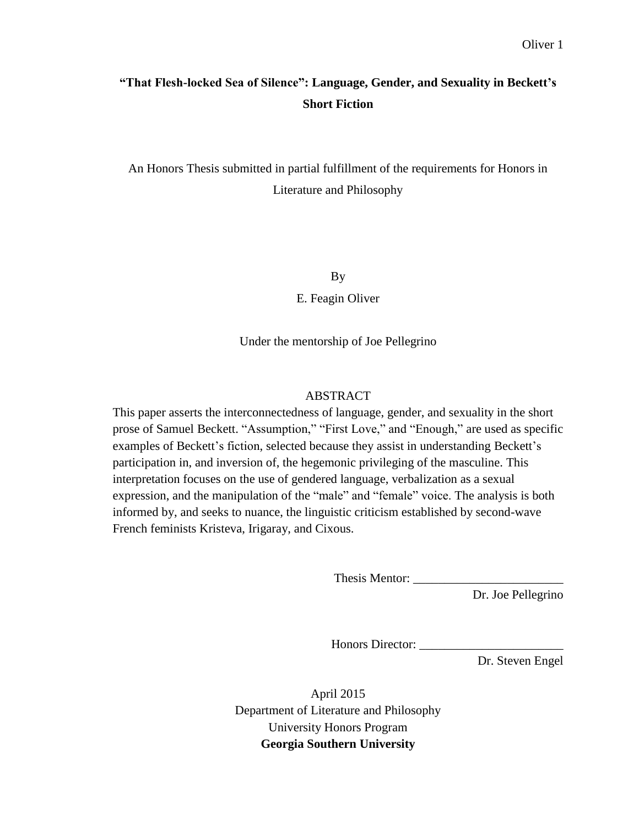## **"That Flesh-locked Sea of Silence": Language, Gender, and Sexuality in Beckett's Short Fiction**

An Honors Thesis submitted in partial fulfillment of the requirements for Honors in Literature and Philosophy

By

E. Feagin Oliver

Under the mentorship of Joe Pellegrino

### ABSTRACT

This paper asserts the interconnectedness of language, gender, and sexuality in the short prose of Samuel Beckett. "Assumption," "First Love," and "Enough," are used as specific examples of Beckett's fiction, selected because they assist in understanding Beckett's participation in, and inversion of, the hegemonic privileging of the masculine. This interpretation focuses on the use of gendered language, verbalization as a sexual expression, and the manipulation of the "male" and "female" voice. The analysis is both informed by, and seeks to nuance, the linguistic criticism established by second-wave French feminists Kristeva, Irigaray, and Cixous.

Thesis Mentor: \_\_\_\_\_\_\_\_\_\_\_\_\_\_\_\_\_\_\_\_\_\_\_\_

Dr. Joe Pellegrino

Honors Director: \_\_\_\_\_\_\_\_\_\_\_\_\_\_\_\_\_\_\_\_\_\_\_

Dr. Steven Engel

April 2015 Department of Literature and Philosophy University Honors Program **Georgia Southern University**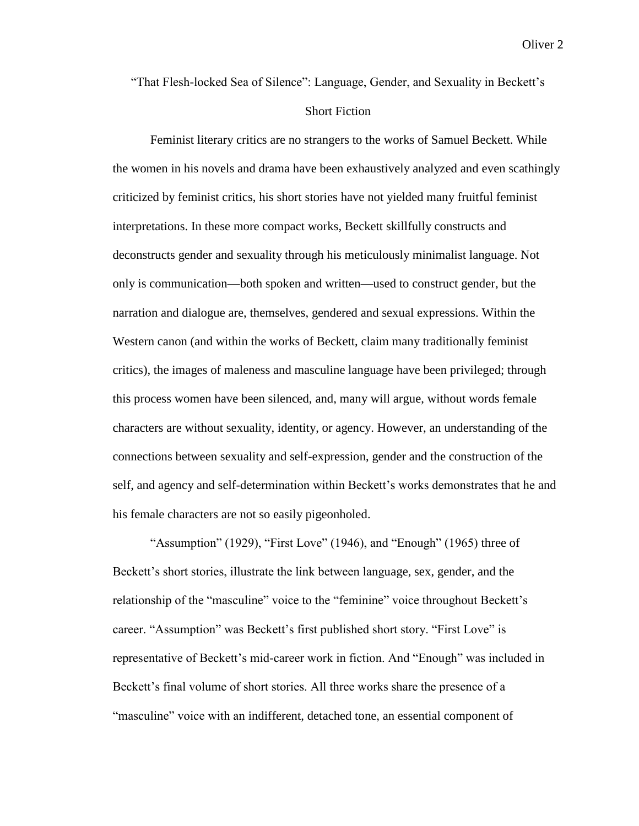"That Flesh-locked Sea of Silence": Language, Gender, and Sexuality in Beckett's

### Short Fiction

Feminist literary critics are no strangers to the works of Samuel Beckett. While the women in his novels and drama have been exhaustively analyzed and even scathingly criticized by feminist critics, his short stories have not yielded many fruitful feminist interpretations. In these more compact works, Beckett skillfully constructs and deconstructs gender and sexuality through his meticulously minimalist language. Not only is communication—both spoken and written—used to construct gender, but the narration and dialogue are, themselves, gendered and sexual expressions. Within the Western canon (and within the works of Beckett, claim many traditionally feminist critics), the images of maleness and masculine language have been privileged; through this process women have been silenced, and, many will argue, without words female characters are without sexuality, identity, or agency. However, an understanding of the connections between sexuality and self-expression, gender and the construction of the self, and agency and self-determination within Beckett's works demonstrates that he and his female characters are not so easily pigeonholed.

"Assumption" (1929), "First Love" (1946), and "Enough" (1965) three of Beckett's short stories, illustrate the link between language, sex, gender, and the relationship of the "masculine" voice to the "feminine" voice throughout Beckett's career. "Assumption" was Beckett's first published short story. "First Love" is representative of Beckett's mid-career work in fiction. And "Enough" was included in Beckett's final volume of short stories. All three works share the presence of a "masculine" voice with an indifferent, detached tone, an essential component of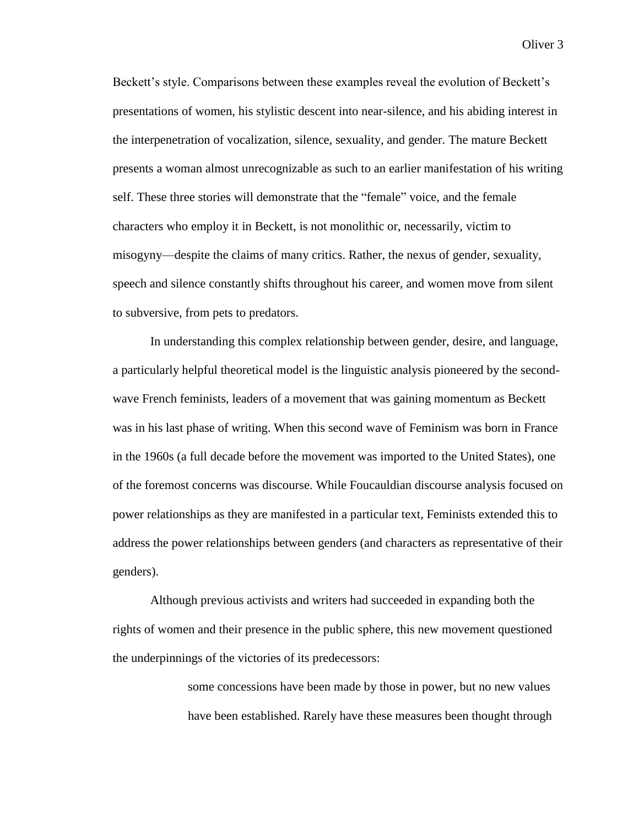Beckett's style. Comparisons between these examples reveal the evolution of Beckett's presentations of women, his stylistic descent into near-silence, and his abiding interest in the interpenetration of vocalization, silence, sexuality, and gender. The mature Beckett presents a woman almost unrecognizable as such to an earlier manifestation of his writing self. These three stories will demonstrate that the "female" voice, and the female characters who employ it in Beckett, is not monolithic or, necessarily, victim to misogyny—despite the claims of many critics. Rather, the nexus of gender, sexuality, speech and silence constantly shifts throughout his career, and women move from silent to subversive, from pets to predators.

In understanding this complex relationship between gender, desire, and language, a particularly helpful theoretical model is the linguistic analysis pioneered by the secondwave French feminists, leaders of a movement that was gaining momentum as Beckett was in his last phase of writing. When this second wave of Feminism was born in France in the 1960s (a full decade before the movement was imported to the United States), one of the foremost concerns was discourse. While Foucauldian discourse analysis focused on power relationships as they are manifested in a particular text, Feminists extended this to address the power relationships between genders (and characters as representative of their genders).

Although previous activists and writers had succeeded in expanding both the rights of women and their presence in the public sphere, this new movement questioned the underpinnings of the victories of its predecessors:

> some concessions have been made by those in power, but no new values have been established. Rarely have these measures been thought through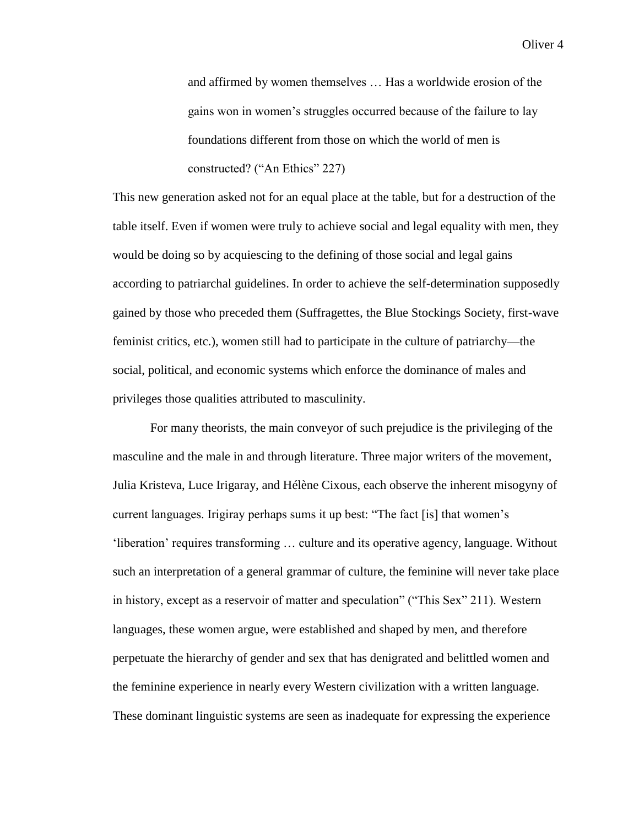and affirmed by women themselves … Has a worldwide erosion of the gains won in women's struggles occurred because of the failure to lay foundations different from those on which the world of men is constructed? ("An Ethics" 227)

This new generation asked not for an equal place at the table, but for a destruction of the table itself. Even if women were truly to achieve social and legal equality with men, they would be doing so by acquiescing to the defining of those social and legal gains according to patriarchal guidelines. In order to achieve the self-determination supposedly gained by those who preceded them (Suffragettes, the Blue Stockings Society, first-wave feminist critics, etc.), women still had to participate in the culture of patriarchy—the social, political, and economic systems which enforce the dominance of males and privileges those qualities attributed to masculinity.

For many theorists, the main conveyor of such prejudice is the privileging of the masculine and the male in and through literature. Three major writers of the movement, Julia Kristeva, Luce Irigaray, and Hélène Cixous, each observe the inherent misogyny of current languages. Irigiray perhaps sums it up best: "The fact [is] that women's 'liberation' requires transforming … culture and its operative agency, language. Without such an interpretation of a general grammar of culture, the feminine will never take place in history, except as a reservoir of matter and speculation" ("This Sex" 211). Western languages, these women argue, were established and shaped by men, and therefore perpetuate the hierarchy of gender and sex that has denigrated and belittled women and the feminine experience in nearly every Western civilization with a written language. These dominant linguistic systems are seen as inadequate for expressing the experience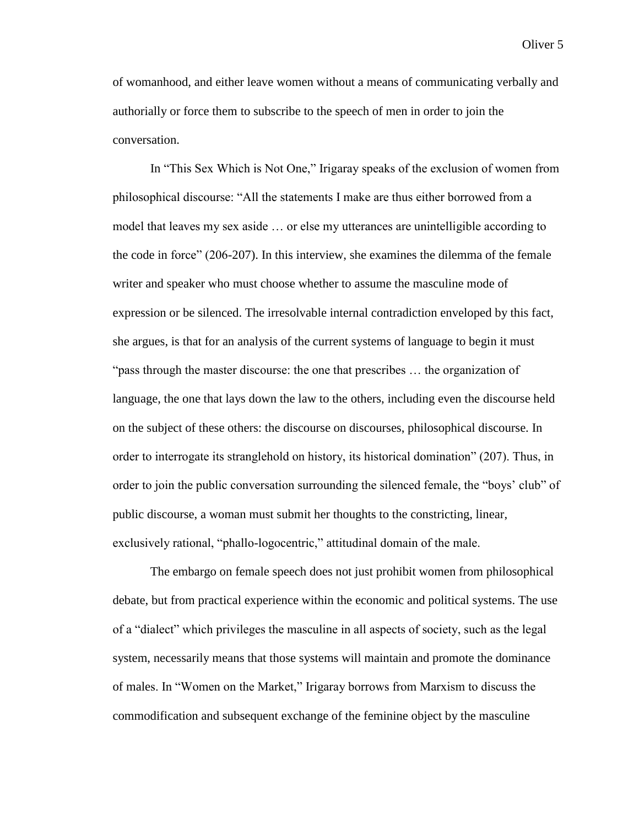of womanhood, and either leave women without a means of communicating verbally and authorially or force them to subscribe to the speech of men in order to join the conversation.

In "This Sex Which is Not One," Irigaray speaks of the exclusion of women from philosophical discourse: "All the statements I make are thus either borrowed from a model that leaves my sex aside … or else my utterances are unintelligible according to the code in force" (206-207). In this interview, she examines the dilemma of the female writer and speaker who must choose whether to assume the masculine mode of expression or be silenced. The irresolvable internal contradiction enveloped by this fact, she argues, is that for an analysis of the current systems of language to begin it must "pass through the master discourse: the one that prescribes … the organization of language, the one that lays down the law to the others, including even the discourse held on the subject of these others: the discourse on discourses, philosophical discourse. In order to interrogate its stranglehold on history, its historical domination" (207). Thus, in order to join the public conversation surrounding the silenced female, the "boys' club" of public discourse, a woman must submit her thoughts to the constricting, linear, exclusively rational, "phallo-logocentric," attitudinal domain of the male.

The embargo on female speech does not just prohibit women from philosophical debate, but from practical experience within the economic and political systems. The use of a "dialect" which privileges the masculine in all aspects of society, such as the legal system, necessarily means that those systems will maintain and promote the dominance of males. In "Women on the Market," Irigaray borrows from Marxism to discuss the commodification and subsequent exchange of the feminine object by the masculine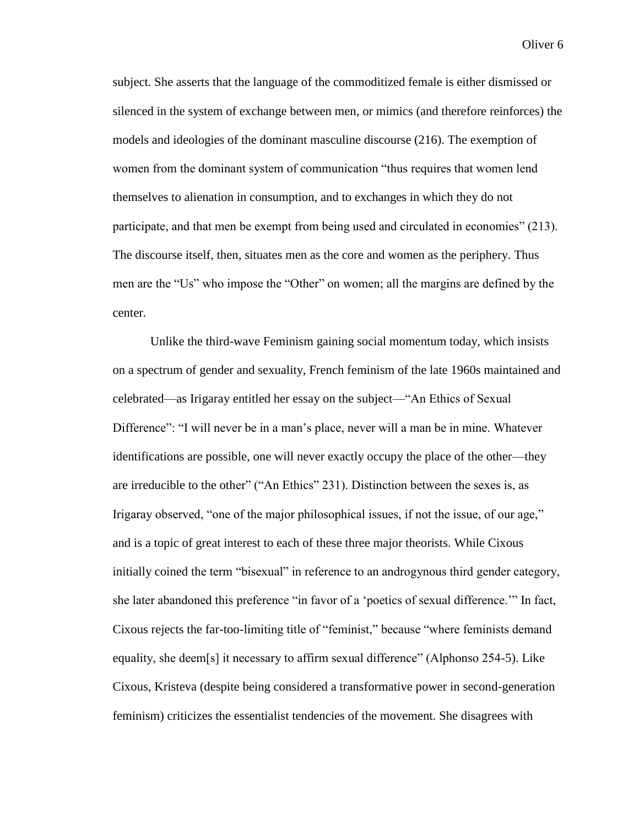subject. She asserts that the language of the commoditized female is either dismissed or silenced in the system of exchange between men, or mimics (and therefore reinforces) the models and ideologies of the dominant masculine discourse (216). The exemption of women from the dominant system of communication "thus requires that women lend themselves to alienation in consumption, and to exchanges in which they do not participate, and that men be exempt from being used and circulated in economies" (213). The discourse itself, then, situates men as the core and women as the periphery. Thus men are the "Us" who impose the "Other" on women; all the margins are defined by the center.

Unlike the third-wave Feminism gaining social momentum today, which insists on a spectrum of gender and sexuality, French feminism of the late 1960s maintained and celebrated—as Irigaray entitled her essay on the subject—"An Ethics of Sexual Difference": "I will never be in a man's place, never will a man be in mine. Whatever identifications are possible, one will never exactly occupy the place of the other—they are irreducible to the other" ("An Ethics" 231). Distinction between the sexes is, as Irigaray observed, "one of the major philosophical issues, if not the issue, of our age," and is a topic of great interest to each of these three major theorists. While Cixous initially coined the term "bisexual" in reference to an androgynous third gender category, she later abandoned this preference "in favor of a 'poetics of sexual difference.'" In fact, Cixous rejects the far-too-limiting title of "feminist," because "where feminists demand equality, she deem[s] it necessary to affirm sexual difference" (Alphonso 254-5). Like Cixous, Kristeva (despite being considered a transformative power in second-generation feminism) criticizes the essentialist tendencies of the movement. She disagrees with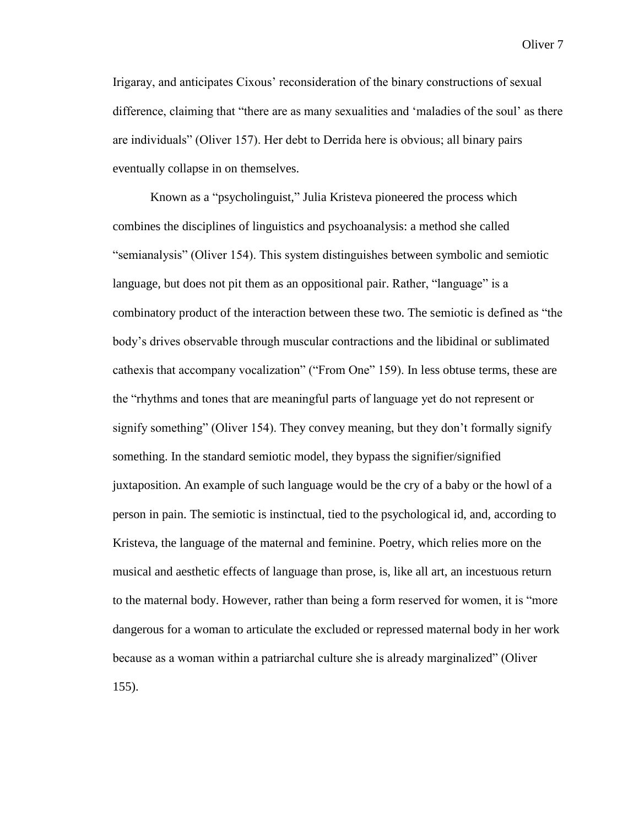Irigaray, and anticipates Cixous' reconsideration of the binary constructions of sexual difference, claiming that "there are as many sexualities and 'maladies of the soul' as there are individuals" (Oliver 157). Her debt to Derrida here is obvious; all binary pairs eventually collapse in on themselves.

Known as a "psycholinguist," Julia Kristeva pioneered the process which combines the disciplines of linguistics and psychoanalysis: a method she called "semianalysis" (Oliver 154). This system distinguishes between symbolic and semiotic language, but does not pit them as an oppositional pair. Rather, "language" is a combinatory product of the interaction between these two. The semiotic is defined as "the body's drives observable through muscular contractions and the libidinal or sublimated cathexis that accompany vocalization" ("From One" 159). In less obtuse terms, these are the "rhythms and tones that are meaningful parts of language yet do not represent or signify something" (Oliver 154). They convey meaning, but they don't formally signify something. In the standard semiotic model, they bypass the signifier/signified juxtaposition. An example of such language would be the cry of a baby or the howl of a person in pain. The semiotic is instinctual, tied to the psychological id, and, according to Kristeva, the language of the maternal and feminine. Poetry, which relies more on the musical and aesthetic effects of language than prose, is, like all art, an incestuous return to the maternal body. However, rather than being a form reserved for women, it is "more dangerous for a woman to articulate the excluded or repressed maternal body in her work because as a woman within a patriarchal culture she is already marginalized" (Oliver 155).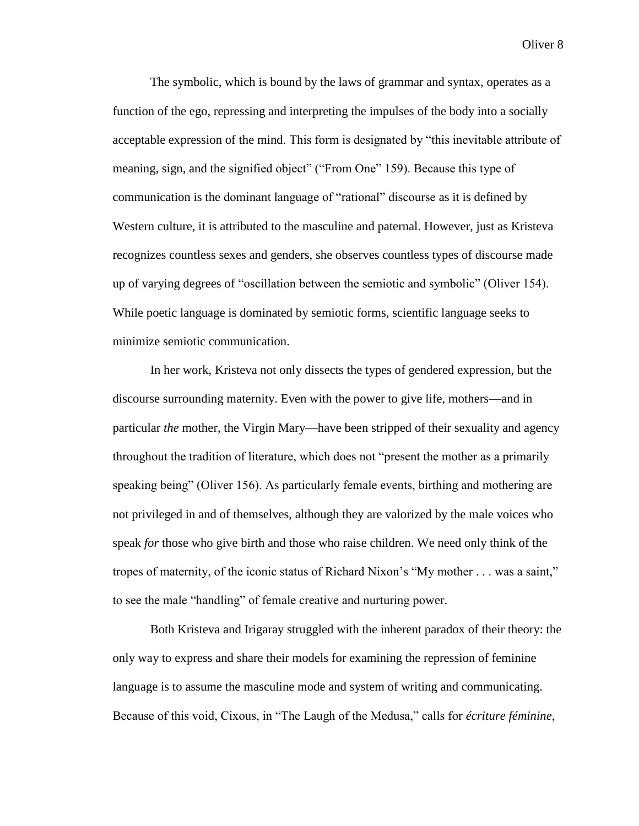The symbolic, which is bound by the laws of grammar and syntax, operates as a function of the ego, repressing and interpreting the impulses of the body into a socially acceptable expression of the mind. This form is designated by "this inevitable attribute of meaning, sign, and the signified object" ("From One" 159). Because this type of communication is the dominant language of "rational" discourse as it is defined by Western culture, it is attributed to the masculine and paternal. However, just as Kristeva recognizes countless sexes and genders, she observes countless types of discourse made up of varying degrees of "oscillation between the semiotic and symbolic" (Oliver 154). While poetic language is dominated by semiotic forms, scientific language seeks to minimize semiotic communication.

In her work, Kristeva not only dissects the types of gendered expression, but the discourse surrounding maternity. Even with the power to give life, mothers—and in particular *the* mother, the Virgin Mary—have been stripped of their sexuality and agency throughout the tradition of literature, which does not "present the mother as a primarily speaking being" (Oliver 156). As particularly female events, birthing and mothering are not privileged in and of themselves, although they are valorized by the male voices who speak *for* those who give birth and those who raise children. We need only think of the tropes of maternity, of the iconic status of Richard Nixon's "My mother . . . was a saint," to see the male "handling" of female creative and nurturing power.

Both Kristeva and Irigaray struggled with the inherent paradox of their theory: the only way to express and share their models for examining the repression of feminine language is to assume the masculine mode and system of writing and communicating. Because of this void, Cixous, in "The Laugh of the Medusa," calls for *écriture féminine*,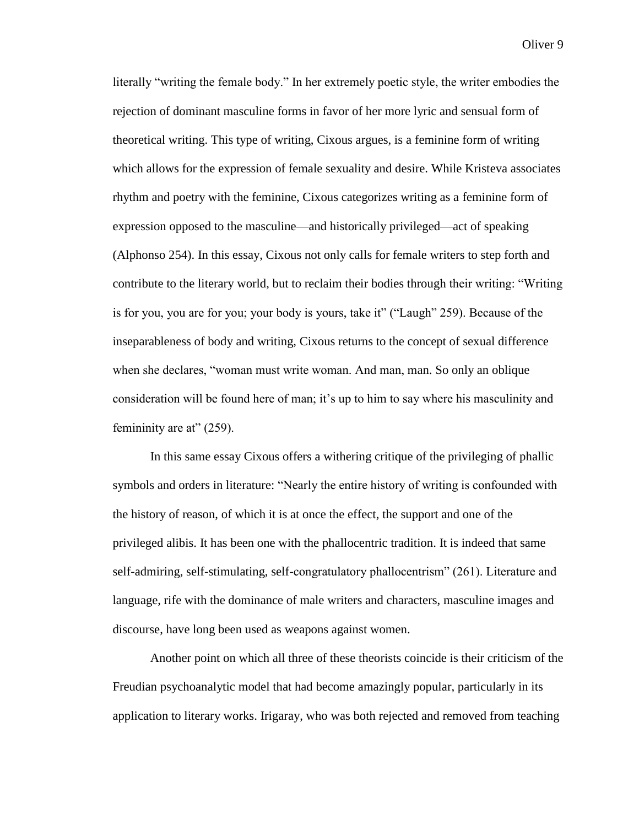literally "writing the female body." In her extremely poetic style, the writer embodies the rejection of dominant masculine forms in favor of her more lyric and sensual form of theoretical writing. This type of writing, Cixous argues, is a feminine form of writing which allows for the expression of female sexuality and desire. While Kristeva associates rhythm and poetry with the feminine, Cixous categorizes writing as a feminine form of expression opposed to the masculine—and historically privileged—act of speaking (Alphonso 254). In this essay, Cixous not only calls for female writers to step forth and contribute to the literary world, but to reclaim their bodies through their writing: "Writing is for you, you are for you; your body is yours, take it" ("Laugh" 259). Because of the inseparableness of body and writing, Cixous returns to the concept of sexual difference when she declares, "woman must write woman. And man, man. So only an oblique consideration will be found here of man; it's up to him to say where his masculinity and femininity are at" (259).

In this same essay Cixous offers a withering critique of the privileging of phallic symbols and orders in literature: "Nearly the entire history of writing is confounded with the history of reason, of which it is at once the effect, the support and one of the privileged alibis. It has been one with the phallocentric tradition. It is indeed that same self-admiring, self-stimulating, self-congratulatory phallocentrism" (261). Literature and language, rife with the dominance of male writers and characters, masculine images and discourse, have long been used as weapons against women.

Another point on which all three of these theorists coincide is their criticism of the Freudian psychoanalytic model that had become amazingly popular, particularly in its application to literary works. Irigaray, who was both rejected and removed from teaching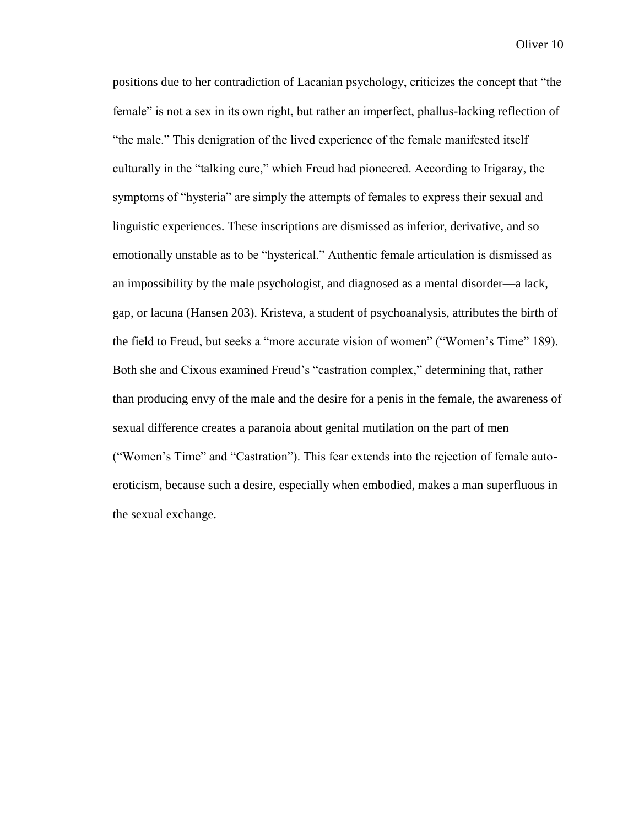positions due to her contradiction of Lacanian psychology, criticizes the concept that "the female" is not a sex in its own right, but rather an imperfect, phallus-lacking reflection of "the male." This denigration of the lived experience of the female manifested itself culturally in the "talking cure," which Freud had pioneered. According to Irigaray, the symptoms of "hysteria" are simply the attempts of females to express their sexual and linguistic experiences. These inscriptions are dismissed as inferior, derivative, and so emotionally unstable as to be "hysterical." Authentic female articulation is dismissed as an impossibility by the male psychologist, and diagnosed as a mental disorder—a lack, gap, or lacuna (Hansen 203). Kristeva, a student of psychoanalysis, attributes the birth of the field to Freud, but seeks a "more accurate vision of women" ("Women's Time" 189). Both she and Cixous examined Freud's "castration complex," determining that, rather than producing envy of the male and the desire for a penis in the female, the awareness of sexual difference creates a paranoia about genital mutilation on the part of men ("Women's Time" and "Castration"). This fear extends into the rejection of female autoeroticism, because such a desire, especially when embodied, makes a man superfluous in the sexual exchange.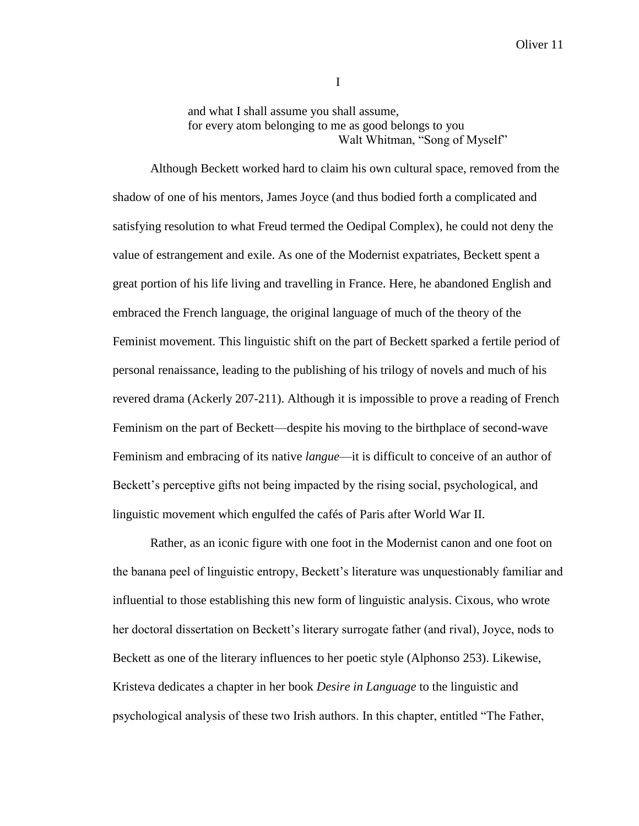and what I shall assume you shall assume, for every atom belonging to me as good belongs to you Walt Whitman, "Song of Myself"

Although Beckett worked hard to claim his own cultural space, removed from the shadow of one of his mentors, James Joyce (and thus bodied forth a complicated and satisfying resolution to what Freud termed the Oedipal Complex), he could not deny the value of estrangement and exile. As one of the Modernist expatriates, Beckett spent a great portion of his life living and travelling in France. Here, he abandoned English and embraced the French language, the original language of much of the theory of the Feminist movement. This linguistic shift on the part of Beckett sparked a fertile period of personal renaissance, leading to the publishing of his trilogy of novels and much of his revered drama (Ackerly 207-211). Although it is impossible to prove a reading of French Feminism on the part of Beckett—despite his moving to the birthplace of second-wave Feminism and embracing of its native *langue*—it is difficult to conceive of an author of Beckett's perceptive gifts not being impacted by the rising social, psychological, and linguistic movement which engulfed the cafés of Paris after World War II.

Rather, as an iconic figure with one foot in the Modernist canon and one foot on the banana peel of linguistic entropy, Beckett's literature was unquestionably familiar and influential to those establishing this new form of linguistic analysis. Cixous, who wrote her doctoral dissertation on Beckett's literary surrogate father (and rival), Joyce, nods to Beckett as one of the literary influences to her poetic style (Alphonso 253). Likewise, Kristeva dedicates a chapter in her book *Desire in Language* to the linguistic and psychological analysis of these two Irish authors. In this chapter, entitled "The Father,

I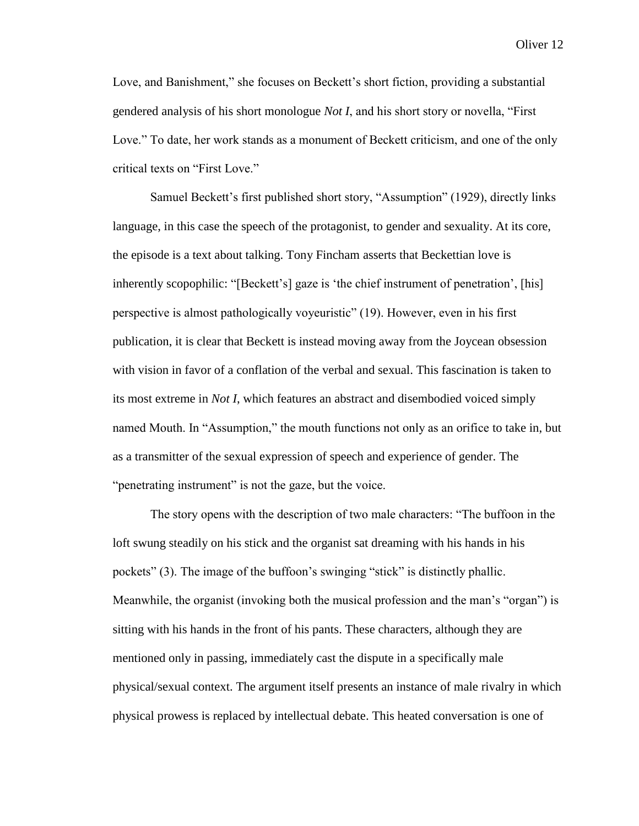Love, and Banishment," she focuses on Beckett's short fiction, providing a substantial gendered analysis of his short monologue *Not I*, and his short story or novella, "First Love." To date, her work stands as a monument of Beckett criticism, and one of the only critical texts on "First Love."

Samuel Beckett's first published short story, "Assumption" (1929), directly links language, in this case the speech of the protagonist, to gender and sexuality. At its core, the episode is a text about talking. Tony Fincham asserts that Beckettian love is inherently scopophilic: "[Beckett's] gaze is 'the chief instrument of penetration', [his] perspective is almost pathologically voyeuristic" (19). However, even in his first publication, it is clear that Beckett is instead moving away from the Joycean obsession with vision in favor of a conflation of the verbal and sexual. This fascination is taken to its most extreme in *Not I*, which features an abstract and disembodied voiced simply named Mouth. In "Assumption," the mouth functions not only as an orifice to take in, but as a transmitter of the sexual expression of speech and experience of gender. The "penetrating instrument" is not the gaze, but the voice.

The story opens with the description of two male characters: "The buffoon in the loft swung steadily on his stick and the organist sat dreaming with his hands in his pockets" (3). The image of the buffoon's swinging "stick" is distinctly phallic. Meanwhile, the organist (invoking both the musical profession and the man's "organ") is sitting with his hands in the front of his pants. These characters, although they are mentioned only in passing, immediately cast the dispute in a specifically male physical/sexual context. The argument itself presents an instance of male rivalry in which physical prowess is replaced by intellectual debate. This heated conversation is one of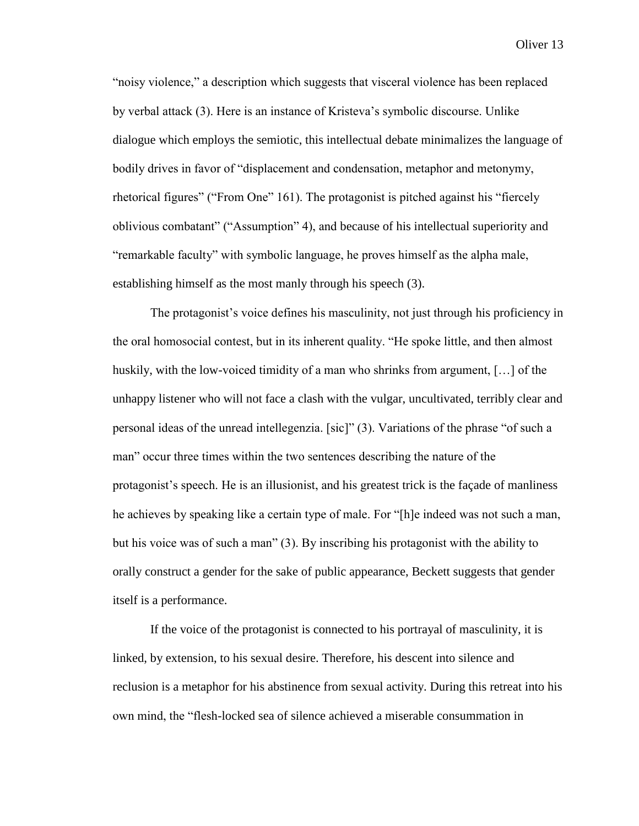"noisy violence," a description which suggests that visceral violence has been replaced by verbal attack (3). Here is an instance of Kristeva's symbolic discourse. Unlike dialogue which employs the semiotic, this intellectual debate minimalizes the language of bodily drives in favor of "displacement and condensation, metaphor and metonymy, rhetorical figures" ("From One" 161). The protagonist is pitched against his "fiercely oblivious combatant" ("Assumption" 4), and because of his intellectual superiority and "remarkable faculty" with symbolic language, he proves himself as the alpha male, establishing himself as the most manly through his speech (3).

The protagonist's voice defines his masculinity, not just through his proficiency in the oral homosocial contest, but in its inherent quality. "He spoke little, and then almost huskily, with the low-voiced timidity of a man who shrinks from argument, […] of the unhappy listener who will not face a clash with the vulgar, uncultivated, terribly clear and personal ideas of the unread intellegenzia. [sic]" (3). Variations of the phrase "of such a man" occur three times within the two sentences describing the nature of the protagonist's speech. He is an illusionist, and his greatest trick is the façade of manliness he achieves by speaking like a certain type of male. For "[h]e indeed was not such a man, but his voice was of such a man" (3). By inscribing his protagonist with the ability to orally construct a gender for the sake of public appearance, Beckett suggests that gender itself is a performance.

If the voice of the protagonist is connected to his portrayal of masculinity, it is linked, by extension, to his sexual desire. Therefore, his descent into silence and reclusion is a metaphor for his abstinence from sexual activity. During this retreat into his own mind, the "flesh-locked sea of silence achieved a miserable consummation in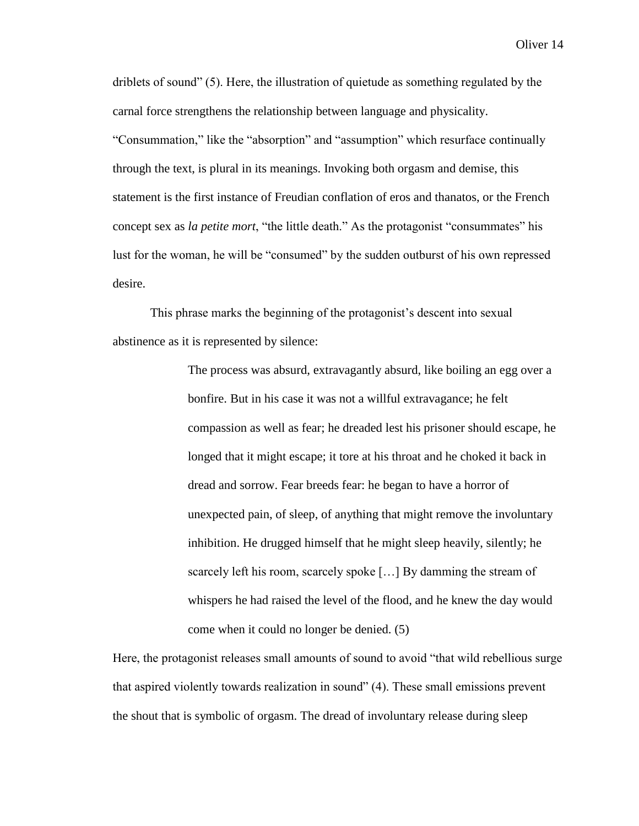driblets of sound" (5). Here, the illustration of quietude as something regulated by the carnal force strengthens the relationship between language and physicality. "Consummation," like the "absorption" and "assumption" which resurface continually through the text, is plural in its meanings. Invoking both orgasm and demise, this statement is the first instance of Freudian conflation of eros and thanatos, or the French concept sex as *la petite mort*, "the little death." As the protagonist "consummates" his lust for the woman, he will be "consumed" by the sudden outburst of his own repressed desire.

This phrase marks the beginning of the protagonist's descent into sexual abstinence as it is represented by silence:

> The process was absurd, extravagantly absurd, like boiling an egg over a bonfire. But in his case it was not a willful extravagance; he felt compassion as well as fear; he dreaded lest his prisoner should escape, he longed that it might escape; it tore at his throat and he choked it back in dread and sorrow. Fear breeds fear: he began to have a horror of unexpected pain, of sleep, of anything that might remove the involuntary inhibition. He drugged himself that he might sleep heavily, silently; he scarcely left his room, scarcely spoke […] By damming the stream of whispers he had raised the level of the flood, and he knew the day would come when it could no longer be denied. (5)

Here, the protagonist releases small amounts of sound to avoid "that wild rebellious surge that aspired violently towards realization in sound" (4). These small emissions prevent the shout that is symbolic of orgasm. The dread of involuntary release during sleep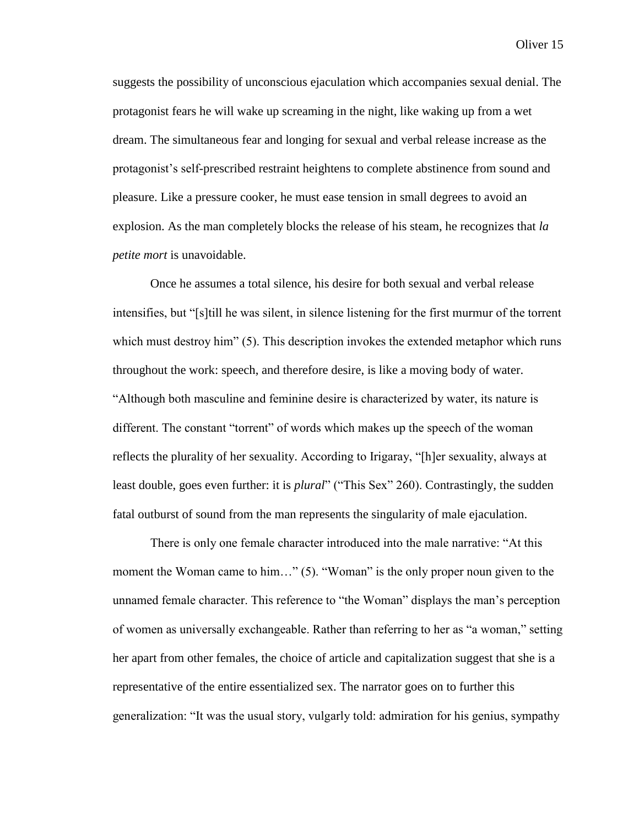suggests the possibility of unconscious ejaculation which accompanies sexual denial. The protagonist fears he will wake up screaming in the night, like waking up from a wet dream. The simultaneous fear and longing for sexual and verbal release increase as the protagonist's self-prescribed restraint heightens to complete abstinence from sound and pleasure. Like a pressure cooker, he must ease tension in small degrees to avoid an explosion. As the man completely blocks the release of his steam, he recognizes that *la petite mort* is unavoidable.

Once he assumes a total silence, his desire for both sexual and verbal release intensifies, but "[s]till he was silent, in silence listening for the first murmur of the torrent which must destroy him" (5). This description invokes the extended metaphor which runs throughout the work: speech, and therefore desire, is like a moving body of water. "Although both masculine and feminine desire is characterized by water, its nature is different. The constant "torrent" of words which makes up the speech of the woman reflects the plurality of her sexuality. According to Irigaray, "[h]er sexuality, always at least double, goes even further: it is *plural*" ("This Sex" 260). Contrastingly, the sudden fatal outburst of sound from the man represents the singularity of male ejaculation.

There is only one female character introduced into the male narrative: "At this moment the Woman came to him..." (5). "Woman" is the only proper noun given to the unnamed female character. This reference to "the Woman" displays the man's perception of women as universally exchangeable. Rather than referring to her as "a woman," setting her apart from other females, the choice of article and capitalization suggest that she is a representative of the entire essentialized sex. The narrator goes on to further this generalization: "It was the usual story, vulgarly told: admiration for his genius, sympathy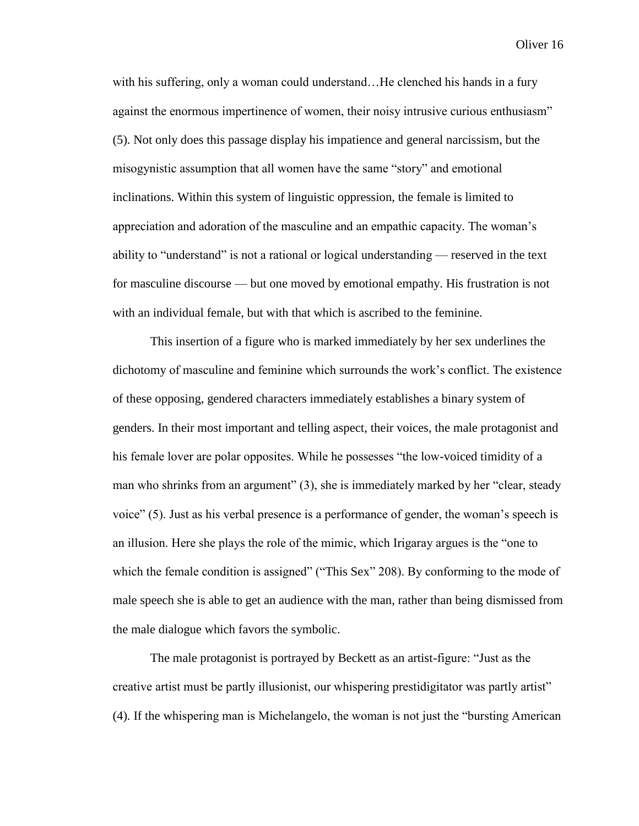with his suffering, only a woman could understand...He clenched his hands in a fury against the enormous impertinence of women, their noisy intrusive curious enthusiasm" (5). Not only does this passage display his impatience and general narcissism, but the misogynistic assumption that all women have the same "story" and emotional inclinations. Within this system of linguistic oppression, the female is limited to appreciation and adoration of the masculine and an empathic capacity. The woman's ability to "understand" is not a rational or logical understanding — reserved in the text for masculine discourse — but one moved by emotional empathy. His frustration is not with an individual female, but with that which is ascribed to the feminine.

This insertion of a figure who is marked immediately by her sex underlines the dichotomy of masculine and feminine which surrounds the work's conflict. The existence of these opposing, gendered characters immediately establishes a binary system of genders. In their most important and telling aspect, their voices, the male protagonist and his female lover are polar opposites. While he possesses "the low-voiced timidity of a man who shrinks from an argument" (3), she is immediately marked by her "clear, steady voice" (5). Just as his verbal presence is a performance of gender, the woman's speech is an illusion. Here she plays the role of the mimic, which Irigaray argues is the "one to which the female condition is assigned" ("This Sex" 208). By conforming to the mode of male speech she is able to get an audience with the man, rather than being dismissed from the male dialogue which favors the symbolic.

The male protagonist is portrayed by Beckett as an artist-figure: "Just as the creative artist must be partly illusionist, our whispering prestidigitator was partly artist" (4). If the whispering man is Michelangelo, the woman is not just the "bursting American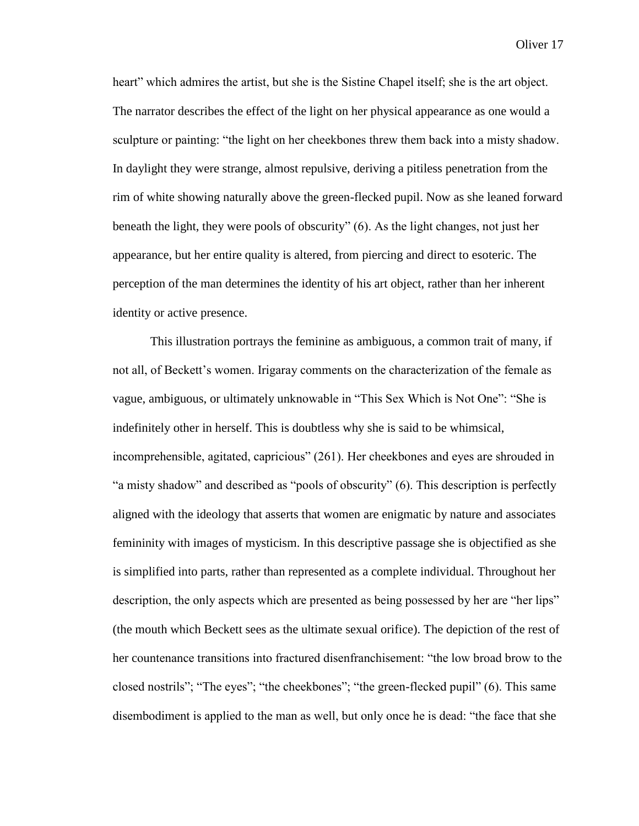heart" which admires the artist, but she is the Sistine Chapel itself; she is the art object. The narrator describes the effect of the light on her physical appearance as one would a sculpture or painting: "the light on her cheekbones threw them back into a misty shadow. In daylight they were strange, almost repulsive, deriving a pitiless penetration from the rim of white showing naturally above the green-flecked pupil. Now as she leaned forward beneath the light, they were pools of obscurity" (6). As the light changes, not just her appearance, but her entire quality is altered, from piercing and direct to esoteric. The perception of the man determines the identity of his art object, rather than her inherent identity or active presence.

This illustration portrays the feminine as ambiguous, a common trait of many, if not all, of Beckett's women. Irigaray comments on the characterization of the female as vague, ambiguous, or ultimately unknowable in "This Sex Which is Not One": "She is indefinitely other in herself. This is doubtless why she is said to be whimsical, incomprehensible, agitated, capricious" (261). Her cheekbones and eyes are shrouded in "a misty shadow" and described as "pools of obscurity" (6). This description is perfectly aligned with the ideology that asserts that women are enigmatic by nature and associates femininity with images of mysticism. In this descriptive passage she is objectified as she is simplified into parts, rather than represented as a complete individual. Throughout her description, the only aspects which are presented as being possessed by her are "her lips" (the mouth which Beckett sees as the ultimate sexual orifice). The depiction of the rest of her countenance transitions into fractured disenfranchisement: "the low broad brow to the closed nostrils"; "The eyes"; "the cheekbones"; "the green-flecked pupil" (6). This same disembodiment is applied to the man as well, but only once he is dead: "the face that she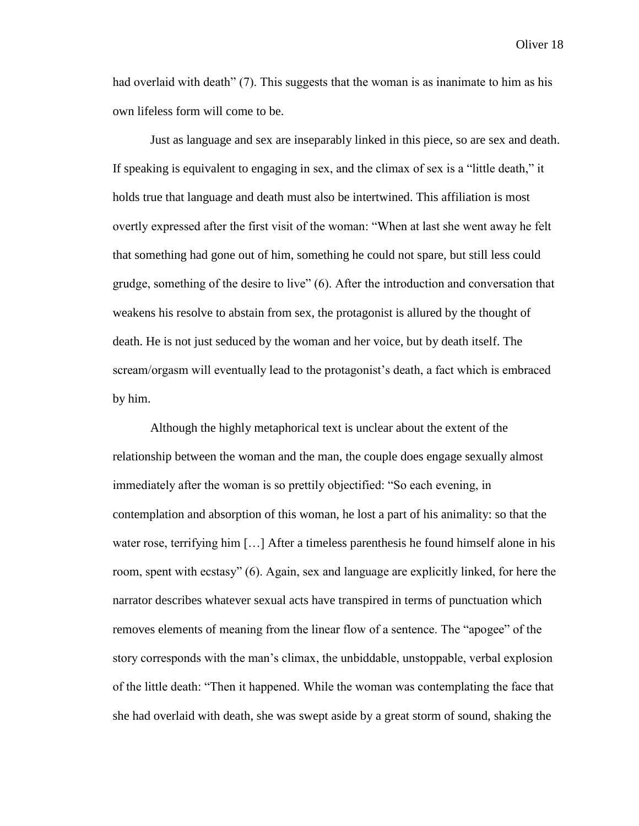had overlaid with death" (7). This suggests that the woman is as inanimate to him as his own lifeless form will come to be.

Just as language and sex are inseparably linked in this piece, so are sex and death. If speaking is equivalent to engaging in sex, and the climax of sex is a "little death," it holds true that language and death must also be intertwined. This affiliation is most overtly expressed after the first visit of the woman: "When at last she went away he felt that something had gone out of him, something he could not spare, but still less could grudge, something of the desire to live" (6). After the introduction and conversation that weakens his resolve to abstain from sex, the protagonist is allured by the thought of death. He is not just seduced by the woman and her voice, but by death itself. The scream/orgasm will eventually lead to the protagonist's death, a fact which is embraced by him.

Although the highly metaphorical text is unclear about the extent of the relationship between the woman and the man, the couple does engage sexually almost immediately after the woman is so prettily objectified: "So each evening, in contemplation and absorption of this woman, he lost a part of his animality: so that the water rose, terrifying him […] After a timeless parenthesis he found himself alone in his room, spent with ecstasy" (6). Again, sex and language are explicitly linked, for here the narrator describes whatever sexual acts have transpired in terms of punctuation which removes elements of meaning from the linear flow of a sentence. The "apogee" of the story corresponds with the man's climax, the unbiddable, unstoppable, verbal explosion of the little death: "Then it happened. While the woman was contemplating the face that she had overlaid with death, she was swept aside by a great storm of sound, shaking the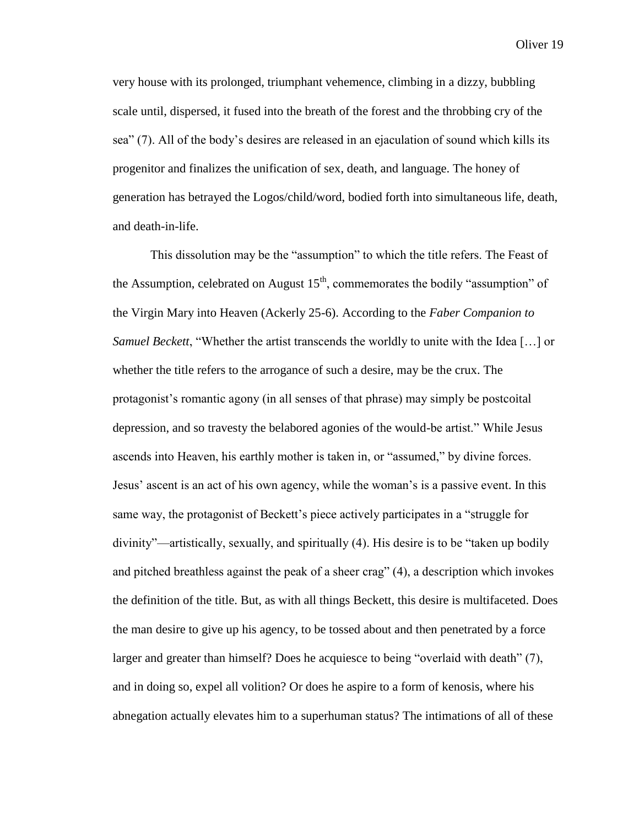very house with its prolonged, triumphant vehemence, climbing in a dizzy, bubbling scale until, dispersed, it fused into the breath of the forest and the throbbing cry of the sea" (7). All of the body's desires are released in an ejaculation of sound which kills its progenitor and finalizes the unification of sex, death, and language. The honey of generation has betrayed the Logos/child/word, bodied forth into simultaneous life, death, and death-in-life.

This dissolution may be the "assumption" to which the title refers. The Feast of the Assumption, celebrated on August  $15<sup>th</sup>$ , commemorates the bodily "assumption" of the Virgin Mary into Heaven (Ackerly 25-6). According to the *Faber Companion to Samuel Beckett*, "Whether the artist transcends the worldly to unite with the Idea […] or whether the title refers to the arrogance of such a desire, may be the crux. The protagonist's romantic agony (in all senses of that phrase) may simply be postcoital depression, and so travesty the belabored agonies of the would-be artist." While Jesus ascends into Heaven, his earthly mother is taken in, or "assumed," by divine forces. Jesus' ascent is an act of his own agency, while the woman's is a passive event. In this same way, the protagonist of Beckett's piece actively participates in a "struggle for divinity"—artistically, sexually, and spiritually (4). His desire is to be "taken up bodily and pitched breathless against the peak of a sheer crag" (4), a description which invokes the definition of the title. But, as with all things Beckett, this desire is multifaceted. Does the man desire to give up his agency, to be tossed about and then penetrated by a force larger and greater than himself? Does he acquiesce to being "overlaid with death" (7), and in doing so, expel all volition? Or does he aspire to a form of kenosis, where his abnegation actually elevates him to a superhuman status? The intimations of all of these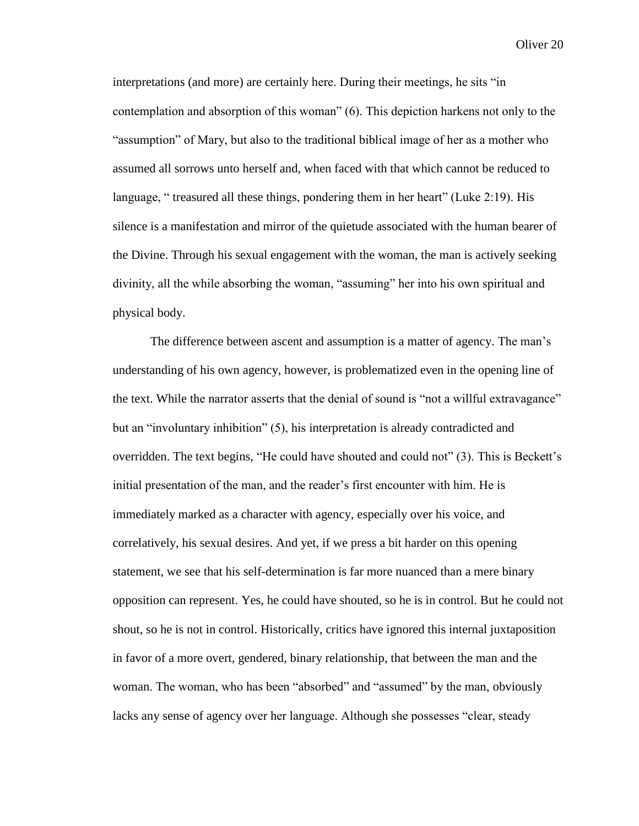interpretations (and more) are certainly here. During their meetings, he sits "in contemplation and absorption of this woman" (6). This depiction harkens not only to the "assumption" of Mary, but also to the traditional biblical image of her as a mother who assumed all sorrows unto herself and, when faced with that which cannot be reduced to language, " treasured all these things, pondering them in her heart" (Luke 2:19). His silence is a manifestation and mirror of the quietude associated with the human bearer of the Divine. Through his sexual engagement with the woman, the man is actively seeking divinity, all the while absorbing the woman, "assuming" her into his own spiritual and physical body.

The difference between ascent and assumption is a matter of agency. The man's understanding of his own agency, however, is problematized even in the opening line of the text. While the narrator asserts that the denial of sound is "not a willful extravagance" but an "involuntary inhibition" (5), his interpretation is already contradicted and overridden. The text begins, "He could have shouted and could not" (3). This is Beckett's initial presentation of the man, and the reader's first encounter with him. He is immediately marked as a character with agency, especially over his voice, and correlatively, his sexual desires. And yet, if we press a bit harder on this opening statement, we see that his self-determination is far more nuanced than a mere binary opposition can represent. Yes, he could have shouted, so he is in control. But he could not shout, so he is not in control. Historically, critics have ignored this internal juxtaposition in favor of a more overt, gendered, binary relationship, that between the man and the woman. The woman, who has been "absorbed" and "assumed" by the man, obviously lacks any sense of agency over her language. Although she possesses "clear, steady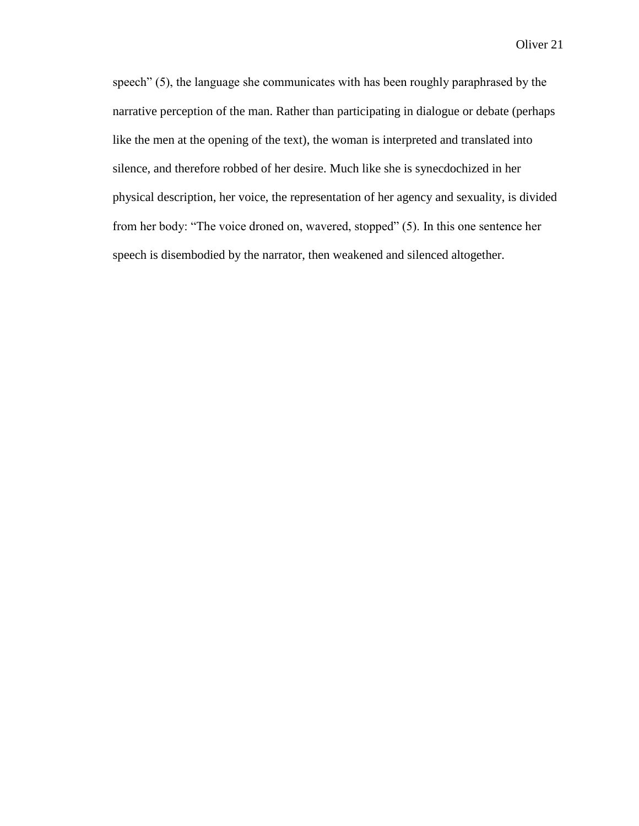speech" (5), the language she communicates with has been roughly paraphrased by the narrative perception of the man. Rather than participating in dialogue or debate (perhaps like the men at the opening of the text), the woman is interpreted and translated into silence, and therefore robbed of her desire. Much like she is synecdochized in her physical description, her voice, the representation of her agency and sexuality, is divided from her body: "The voice droned on, wavered, stopped" (5). In this one sentence her speech is disembodied by the narrator, then weakened and silenced altogether.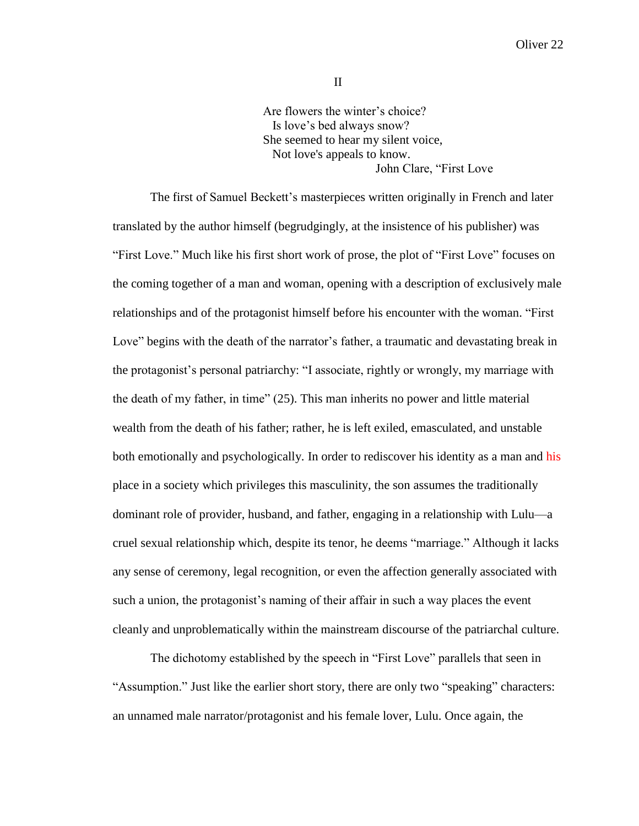II

Are flowers the winter's choice? Is love's bed always snow? She seemed to hear my silent voice, Not love's appeals to know. John Clare, "First Love

The first of Samuel Beckett's masterpieces written originally in French and later translated by the author himself (begrudgingly, at the insistence of his publisher) was "First Love." Much like his first short work of prose, the plot of "First Love" focuses on the coming together of a man and woman, opening with a description of exclusively male relationships and of the protagonist himself before his encounter with the woman. "First Love" begins with the death of the narrator's father, a traumatic and devastating break in the protagonist's personal patriarchy: "I associate, rightly or wrongly, my marriage with the death of my father, in time" (25). This man inherits no power and little material wealth from the death of his father; rather, he is left exiled, emasculated, and unstable both emotionally and psychologically. In order to rediscover his identity as a man and his place in a society which privileges this masculinity, the son assumes the traditionally dominant role of provider, husband, and father, engaging in a relationship with Lulu—a cruel sexual relationship which, despite its tenor, he deems "marriage." Although it lacks any sense of ceremony, legal recognition, or even the affection generally associated with such a union, the protagonist's naming of their affair in such a way places the event cleanly and unproblematically within the mainstream discourse of the patriarchal culture.

The dichotomy established by the speech in "First Love" parallels that seen in "Assumption." Just like the earlier short story, there are only two "speaking" characters: an unnamed male narrator/protagonist and his female lover, Lulu. Once again, the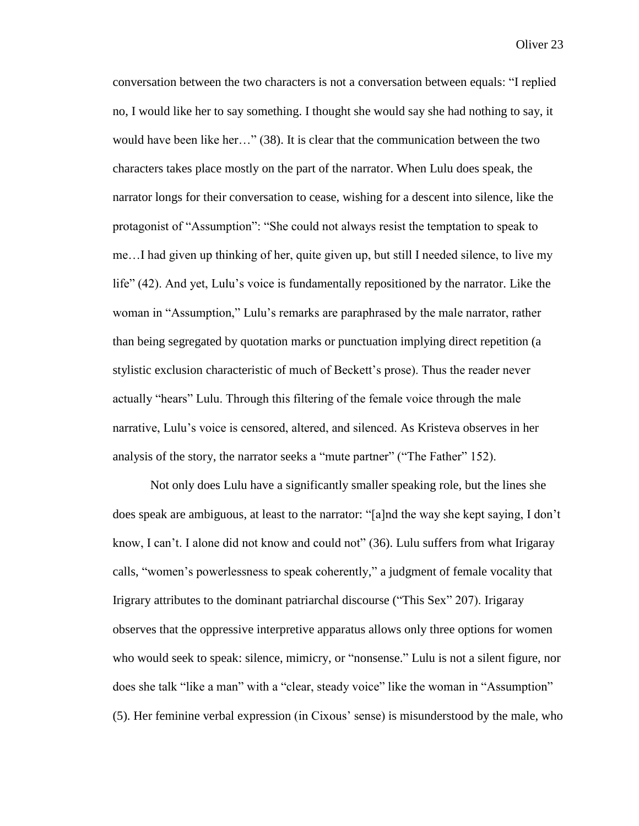conversation between the two characters is not a conversation between equals: "I replied no, I would like her to say something. I thought she would say she had nothing to say, it would have been like her…" (38). It is clear that the communication between the two characters takes place mostly on the part of the narrator. When Lulu does speak, the narrator longs for their conversation to cease, wishing for a descent into silence, like the protagonist of "Assumption": "She could not always resist the temptation to speak to me…I had given up thinking of her, quite given up, but still I needed silence, to live my life" (42). And yet, Lulu's voice is fundamentally repositioned by the narrator. Like the woman in "Assumption," Lulu's remarks are paraphrased by the male narrator, rather than being segregated by quotation marks or punctuation implying direct repetition (a stylistic exclusion characteristic of much of Beckett's prose). Thus the reader never actually "hears" Lulu. Through this filtering of the female voice through the male narrative, Lulu's voice is censored, altered, and silenced. As Kristeva observes in her analysis of the story, the narrator seeks a "mute partner" ("The Father" 152).

Not only does Lulu have a significantly smaller speaking role, but the lines she does speak are ambiguous, at least to the narrator: "[a]nd the way she kept saying, I don't know, I can't. I alone did not know and could not" (36). Lulu suffers from what Irigaray calls, "women's powerlessness to speak coherently," a judgment of female vocality that Irigrary attributes to the dominant patriarchal discourse ("This Sex" 207). Irigaray observes that the oppressive interpretive apparatus allows only three options for women who would seek to speak: silence, mimicry, or "nonsense." Lulu is not a silent figure, nor does she talk "like a man" with a "clear, steady voice" like the woman in "Assumption" (5). Her feminine verbal expression (in Cixous' sense) is misunderstood by the male, who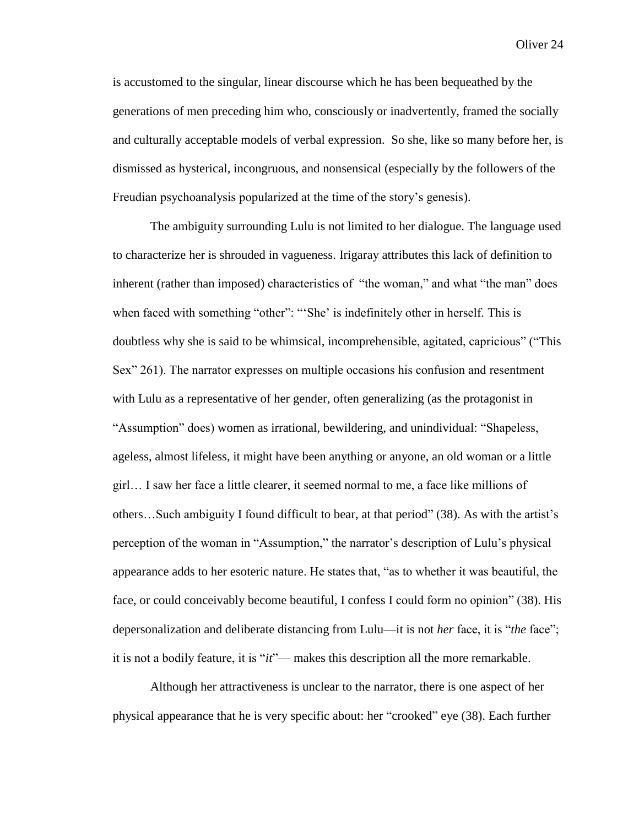is accustomed to the singular, linear discourse which he has been bequeathed by the generations of men preceding him who, consciously or inadvertently, framed the socially and culturally acceptable models of verbal expression. So she, like so many before her, is dismissed as hysterical, incongruous, and nonsensical (especially by the followers of the Freudian psychoanalysis popularized at the time of the story's genesis).

The ambiguity surrounding Lulu is not limited to her dialogue. The language used to characterize her is shrouded in vagueness. Irigaray attributes this lack of definition to inherent (rather than imposed) characteristics of "the woman," and what "the man" does when faced with something "other": "'She' is indefinitely other in herself. This is doubtless why she is said to be whimsical, incomprehensible, agitated, capricious" ("This Sex" 261). The narrator expresses on multiple occasions his confusion and resentment with Lulu as a representative of her gender, often generalizing (as the protagonist in "Assumption" does) women as irrational, bewildering, and unindividual: "Shapeless, ageless, almost lifeless, it might have been anything or anyone, an old woman or a little girl… I saw her face a little clearer, it seemed normal to me, a face like millions of others…Such ambiguity I found difficult to bear, at that period" (38). As with the artist's perception of the woman in "Assumption," the narrator's description of Lulu's physical appearance adds to her esoteric nature. He states that, "as to whether it was beautiful, the face, or could conceivably become beautiful, I confess I could form no opinion" (38). His depersonalization and deliberate distancing from Lulu—it is not *her* face, it is "*the* face"; it is not a bodily feature, it is "*it*"— makes this description all the more remarkable.

Although her attractiveness is unclear to the narrator, there is one aspect of her physical appearance that he is very specific about: her "crooked" eye (38). Each further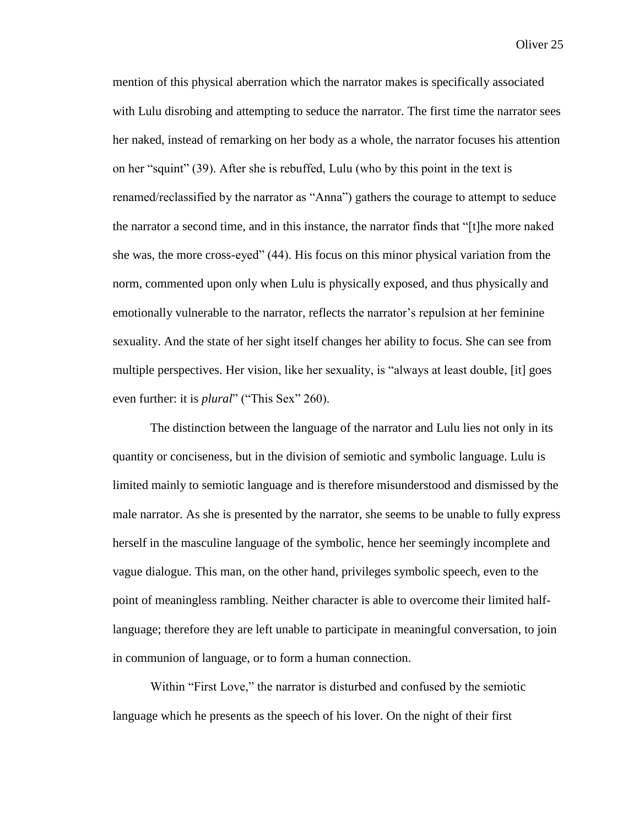mention of this physical aberration which the narrator makes is specifically associated with Lulu disrobing and attempting to seduce the narrator. The first time the narrator sees her naked, instead of remarking on her body as a whole, the narrator focuses his attention on her "squint" (39). After she is rebuffed, Lulu (who by this point in the text is renamed/reclassified by the narrator as "Anna") gathers the courage to attempt to seduce the narrator a second time, and in this instance, the narrator finds that "[t]he more naked she was, the more cross-eyed" (44). His focus on this minor physical variation from the norm, commented upon only when Lulu is physically exposed, and thus physically and emotionally vulnerable to the narrator, reflects the narrator's repulsion at her feminine sexuality. And the state of her sight itself changes her ability to focus. She can see from multiple perspectives. Her vision, like her sexuality, is "always at least double, [it] goes even further: it is *plural*" ("This Sex" 260).

The distinction between the language of the narrator and Lulu lies not only in its quantity or conciseness, but in the division of semiotic and symbolic language. Lulu is limited mainly to semiotic language and is therefore misunderstood and dismissed by the male narrator. As she is presented by the narrator, she seems to be unable to fully express herself in the masculine language of the symbolic, hence her seemingly incomplete and vague dialogue. This man, on the other hand, privileges symbolic speech, even to the point of meaningless rambling. Neither character is able to overcome their limited halflanguage; therefore they are left unable to participate in meaningful conversation, to join in communion of language, or to form a human connection.

Within "First Love," the narrator is disturbed and confused by the semiotic language which he presents as the speech of his lover. On the night of their first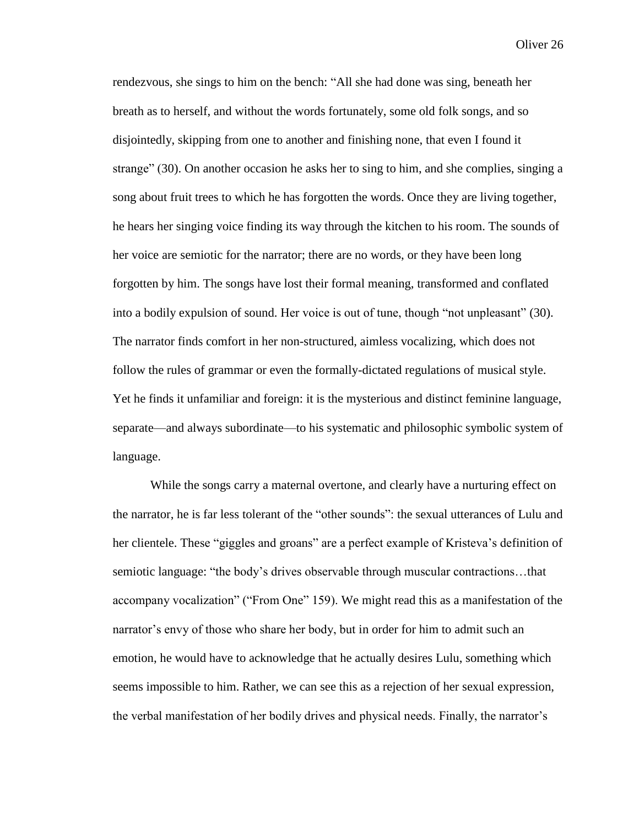rendezvous, she sings to him on the bench: "All she had done was sing, beneath her breath as to herself, and without the words fortunately, some old folk songs, and so disjointedly, skipping from one to another and finishing none, that even I found it strange" (30). On another occasion he asks her to sing to him, and she complies, singing a song about fruit trees to which he has forgotten the words. Once they are living together, he hears her singing voice finding its way through the kitchen to his room. The sounds of her voice are semiotic for the narrator; there are no words, or they have been long forgotten by him. The songs have lost their formal meaning, transformed and conflated into a bodily expulsion of sound. Her voice is out of tune, though "not unpleasant" (30). The narrator finds comfort in her non-structured, aimless vocalizing, which does not follow the rules of grammar or even the formally-dictated regulations of musical style. Yet he finds it unfamiliar and foreign: it is the mysterious and distinct feminine language, separate—and always subordinate—to his systematic and philosophic symbolic system of language.

While the songs carry a maternal overtone, and clearly have a nurturing effect on the narrator, he is far less tolerant of the "other sounds": the sexual utterances of Lulu and her clientele. These "giggles and groans" are a perfect example of Kristeva's definition of semiotic language: "the body's drives observable through muscular contractions…that accompany vocalization" ("From One" 159). We might read this as a manifestation of the narrator's envy of those who share her body, but in order for him to admit such an emotion, he would have to acknowledge that he actually desires Lulu, something which seems impossible to him. Rather, we can see this as a rejection of her sexual expression, the verbal manifestation of her bodily drives and physical needs. Finally, the narrator's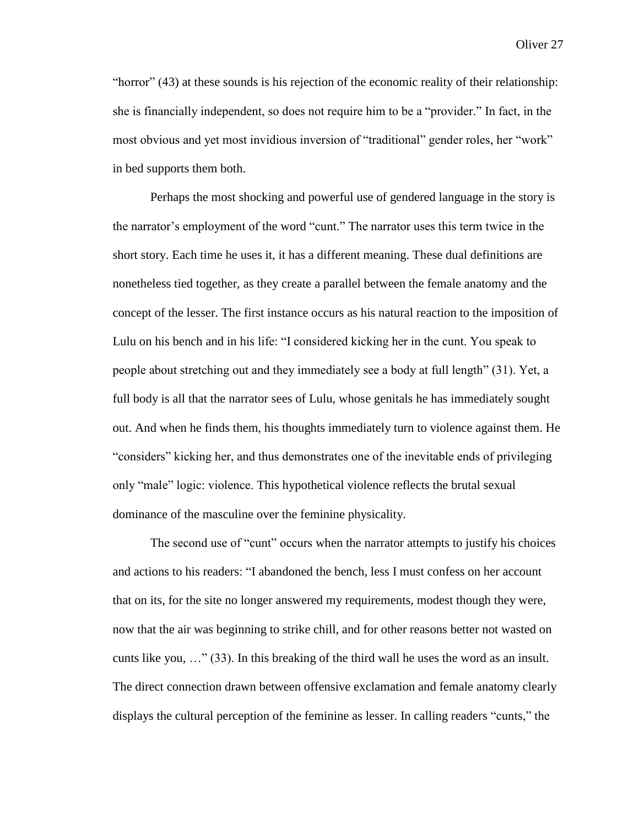"horror" (43) at these sounds is his rejection of the economic reality of their relationship: she is financially independent, so does not require him to be a "provider." In fact, in the most obvious and yet most invidious inversion of "traditional" gender roles, her "work" in bed supports them both.

Perhaps the most shocking and powerful use of gendered language in the story is the narrator's employment of the word "cunt." The narrator uses this term twice in the short story. Each time he uses it, it has a different meaning. These dual definitions are nonetheless tied together, as they create a parallel between the female anatomy and the concept of the lesser. The first instance occurs as his natural reaction to the imposition of Lulu on his bench and in his life: "I considered kicking her in the cunt. You speak to people about stretching out and they immediately see a body at full length" (31). Yet, a full body is all that the narrator sees of Lulu, whose genitals he has immediately sought out. And when he finds them, his thoughts immediately turn to violence against them. He "considers" kicking her, and thus demonstrates one of the inevitable ends of privileging only "male" logic: violence. This hypothetical violence reflects the brutal sexual dominance of the masculine over the feminine physicality.

The second use of "cunt" occurs when the narrator attempts to justify his choices and actions to his readers: "I abandoned the bench, less I must confess on her account that on its, for the site no longer answered my requirements, modest though they were, now that the air was beginning to strike chill, and for other reasons better not wasted on cunts like you, …" (33). In this breaking of the third wall he uses the word as an insult. The direct connection drawn between offensive exclamation and female anatomy clearly displays the cultural perception of the feminine as lesser. In calling readers "cunts," the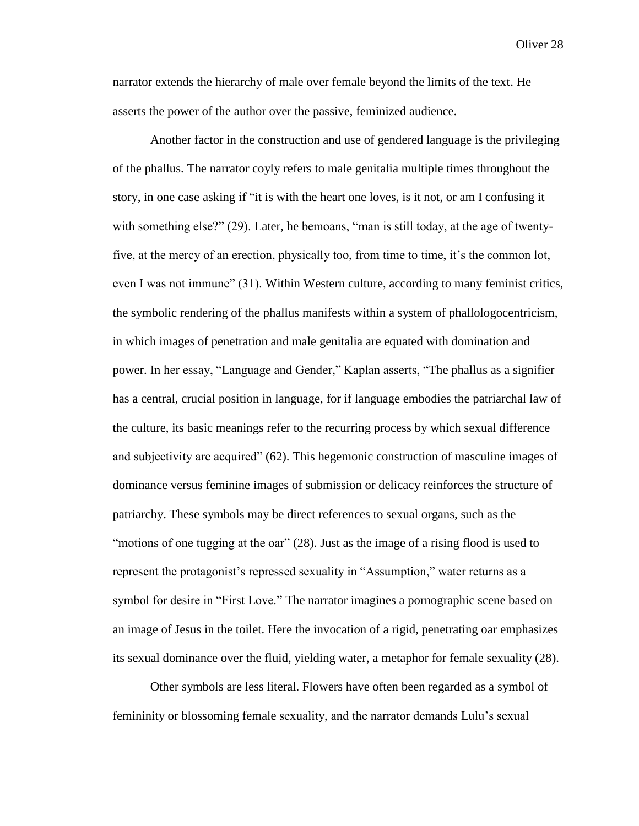narrator extends the hierarchy of male over female beyond the limits of the text. He asserts the power of the author over the passive, feminized audience.

Another factor in the construction and use of gendered language is the privileging of the phallus. The narrator coyly refers to male genitalia multiple times throughout the story, in one case asking if "it is with the heart one loves, is it not, or am I confusing it with something else?" (29). Later, he bemoans, "man is still today, at the age of twentyfive, at the mercy of an erection, physically too, from time to time, it's the common lot, even I was not immune" (31). Within Western culture, according to many feminist critics, the symbolic rendering of the phallus manifests within a system of phallologocentricism, in which images of penetration and male genitalia are equated with domination and power. In her essay, "Language and Gender," Kaplan asserts, "The phallus as a signifier has a central, crucial position in language, for if language embodies the patriarchal law of the culture, its basic meanings refer to the recurring process by which sexual difference and subjectivity are acquired" (62). This hegemonic construction of masculine images of dominance versus feminine images of submission or delicacy reinforces the structure of patriarchy. These symbols may be direct references to sexual organs, such as the "motions of one tugging at the oar" (28). Just as the image of a rising flood is used to represent the protagonist's repressed sexuality in "Assumption," water returns as a symbol for desire in "First Love." The narrator imagines a pornographic scene based on an image of Jesus in the toilet. Here the invocation of a rigid, penetrating oar emphasizes its sexual dominance over the fluid, yielding water, a metaphor for female sexuality (28).

Other symbols are less literal. Flowers have often been regarded as a symbol of femininity or blossoming female sexuality, and the narrator demands Lulu's sexual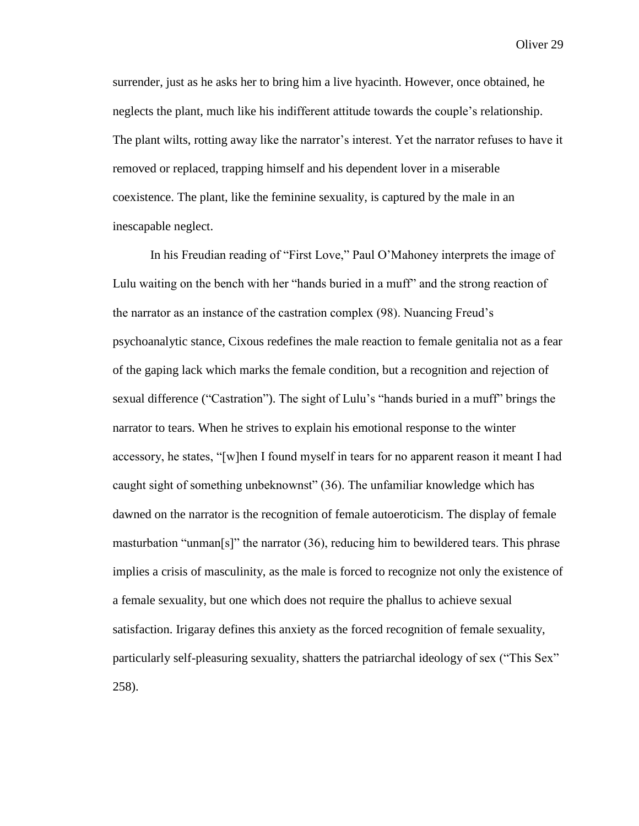surrender, just as he asks her to bring him a live hyacinth. However, once obtained, he neglects the plant, much like his indifferent attitude towards the couple's relationship. The plant wilts, rotting away like the narrator's interest. Yet the narrator refuses to have it removed or replaced, trapping himself and his dependent lover in a miserable coexistence. The plant, like the feminine sexuality, is captured by the male in an inescapable neglect.

In his Freudian reading of "First Love," Paul O'Mahoney interprets the image of Lulu waiting on the bench with her "hands buried in a muff" and the strong reaction of the narrator as an instance of the castration complex (98). Nuancing Freud's psychoanalytic stance, Cixous redefines the male reaction to female genitalia not as a fear of the gaping lack which marks the female condition, but a recognition and rejection of sexual difference ("Castration"). The sight of Lulu's "hands buried in a muff" brings the narrator to tears. When he strives to explain his emotional response to the winter accessory, he states, "[w]hen I found myself in tears for no apparent reason it meant I had caught sight of something unbeknownst" (36). The unfamiliar knowledge which has dawned on the narrator is the recognition of female autoeroticism. The display of female masturbation "unman[s]" the narrator  $(36)$ , reducing him to bewildered tears. This phrase implies a crisis of masculinity, as the male is forced to recognize not only the existence of a female sexuality, but one which does not require the phallus to achieve sexual satisfaction. Irigaray defines this anxiety as the forced recognition of female sexuality, particularly self-pleasuring sexuality, shatters the patriarchal ideology of sex ("This Sex" 258).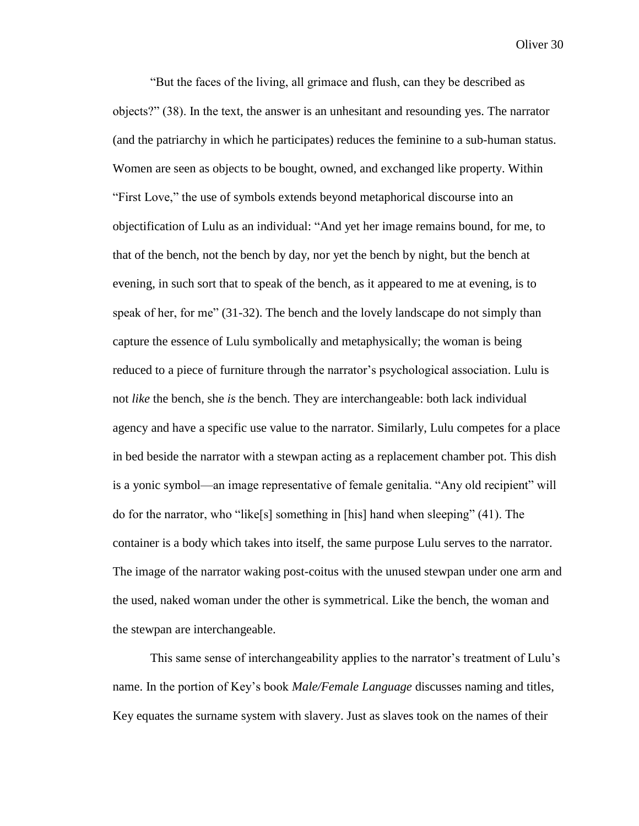"But the faces of the living, all grimace and flush, can they be described as objects?" (38). In the text, the answer is an unhesitant and resounding yes. The narrator (and the patriarchy in which he participates) reduces the feminine to a sub-human status. Women are seen as objects to be bought, owned, and exchanged like property. Within "First Love," the use of symbols extends beyond metaphorical discourse into an objectification of Lulu as an individual: "And yet her image remains bound, for me, to that of the bench, not the bench by day, nor yet the bench by night, but the bench at evening, in such sort that to speak of the bench, as it appeared to me at evening, is to speak of her, for me" (31-32). The bench and the lovely landscape do not simply than capture the essence of Lulu symbolically and metaphysically; the woman is being reduced to a piece of furniture through the narrator's psychological association. Lulu is not *like* the bench, she *is* the bench. They are interchangeable: both lack individual agency and have a specific use value to the narrator. Similarly, Lulu competes for a place in bed beside the narrator with a stewpan acting as a replacement chamber pot. This dish is a yonic symbol—an image representative of female genitalia. "Any old recipient" will do for the narrator, who "like[s] something in [his] hand when sleeping" (41). The container is a body which takes into itself, the same purpose Lulu serves to the narrator. The image of the narrator waking post-coitus with the unused stewpan under one arm and the used, naked woman under the other is symmetrical. Like the bench, the woman and the stewpan are interchangeable.

This same sense of interchangeability applies to the narrator's treatment of Lulu's name. In the portion of Key's book *Male/Female Language* discusses naming and titles, Key equates the surname system with slavery. Just as slaves took on the names of their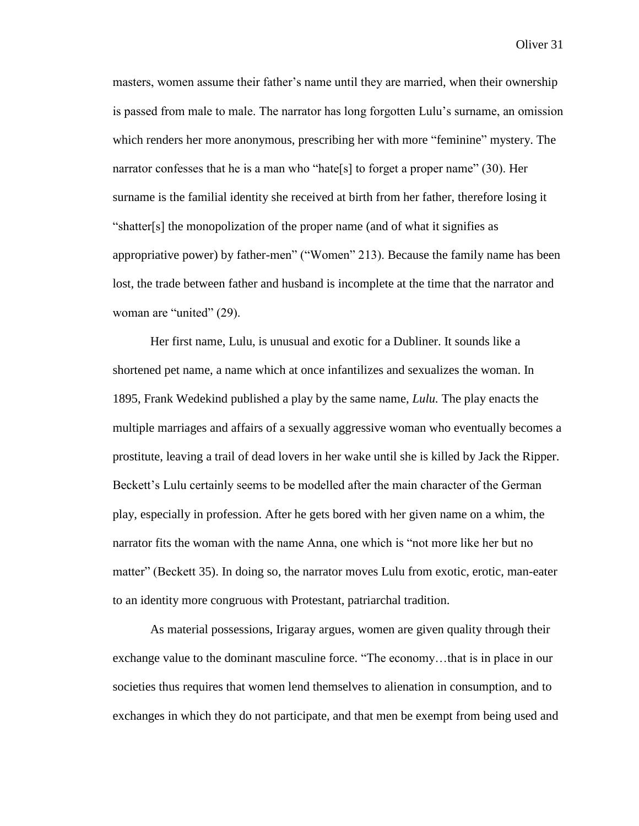masters, women assume their father's name until they are married, when their ownership is passed from male to male. The narrator has long forgotten Lulu's surname, an omission which renders her more anonymous, prescribing her with more "feminine" mystery. The narrator confesses that he is a man who "hate[s] to forget a proper name" (30). Her surname is the familial identity she received at birth from her father, therefore losing it "shatter[s] the monopolization of the proper name (and of what it signifies as appropriative power) by father-men" ("Women" 213). Because the family name has been lost, the trade between father and husband is incomplete at the time that the narrator and woman are "united" (29).

Her first name, Lulu, is unusual and exotic for a Dubliner. It sounds like a shortened pet name, a name which at once infantilizes and sexualizes the woman. In 1895, Frank Wedekind published a play by the same name, *Lulu.* The play enacts the multiple marriages and affairs of a sexually aggressive woman who eventually becomes a prostitute, leaving a trail of dead lovers in her wake until she is killed by Jack the Ripper. Beckett's Lulu certainly seems to be modelled after the main character of the German play, especially in profession. After he gets bored with her given name on a whim, the narrator fits the woman with the name Anna, one which is "not more like her but no matter" (Beckett 35). In doing so, the narrator moves Lulu from exotic, erotic, man-eater to an identity more congruous with Protestant, patriarchal tradition.

As material possessions, Irigaray argues, women are given quality through their exchange value to the dominant masculine force. "The economy…that is in place in our societies thus requires that women lend themselves to alienation in consumption, and to exchanges in which they do not participate, and that men be exempt from being used and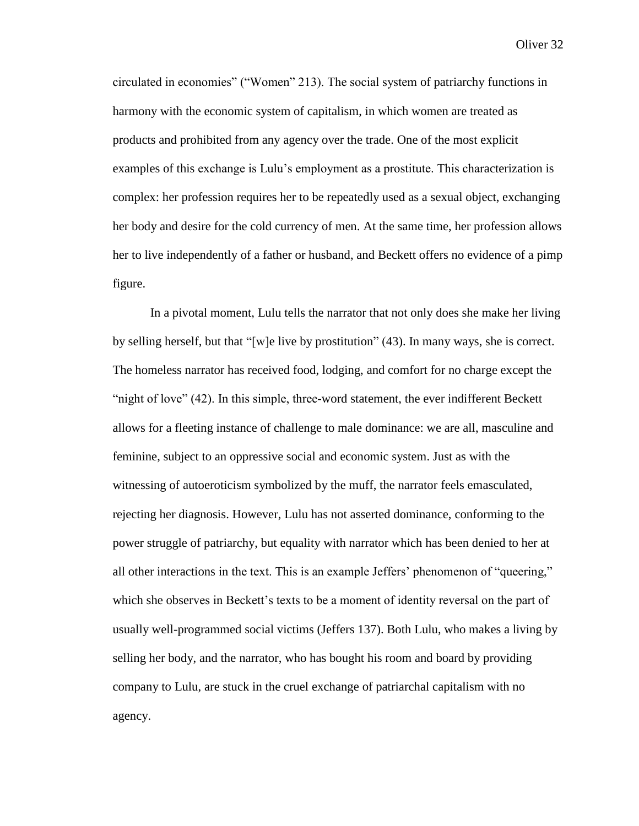circulated in economies" ("Women" 213). The social system of patriarchy functions in harmony with the economic system of capitalism, in which women are treated as products and prohibited from any agency over the trade. One of the most explicit examples of this exchange is Lulu's employment as a prostitute. This characterization is complex: her profession requires her to be repeatedly used as a sexual object, exchanging her body and desire for the cold currency of men. At the same time, her profession allows her to live independently of a father or husband, and Beckett offers no evidence of a pimp figure.

In a pivotal moment, Lulu tells the narrator that not only does she make her living by selling herself, but that "[w]e live by prostitution" (43). In many ways, she is correct. The homeless narrator has received food, lodging, and comfort for no charge except the "night of love" (42). In this simple, three-word statement, the ever indifferent Beckett allows for a fleeting instance of challenge to male dominance: we are all, masculine and feminine, subject to an oppressive social and economic system. Just as with the witnessing of autoeroticism symbolized by the muff, the narrator feels emasculated, rejecting her diagnosis. However, Lulu has not asserted dominance, conforming to the power struggle of patriarchy, but equality with narrator which has been denied to her at all other interactions in the text. This is an example Jeffers' phenomenon of "queering," which she observes in Beckett's texts to be a moment of identity reversal on the part of usually well-programmed social victims (Jeffers 137). Both Lulu, who makes a living by selling her body, and the narrator, who has bought his room and board by providing company to Lulu, are stuck in the cruel exchange of patriarchal capitalism with no agency.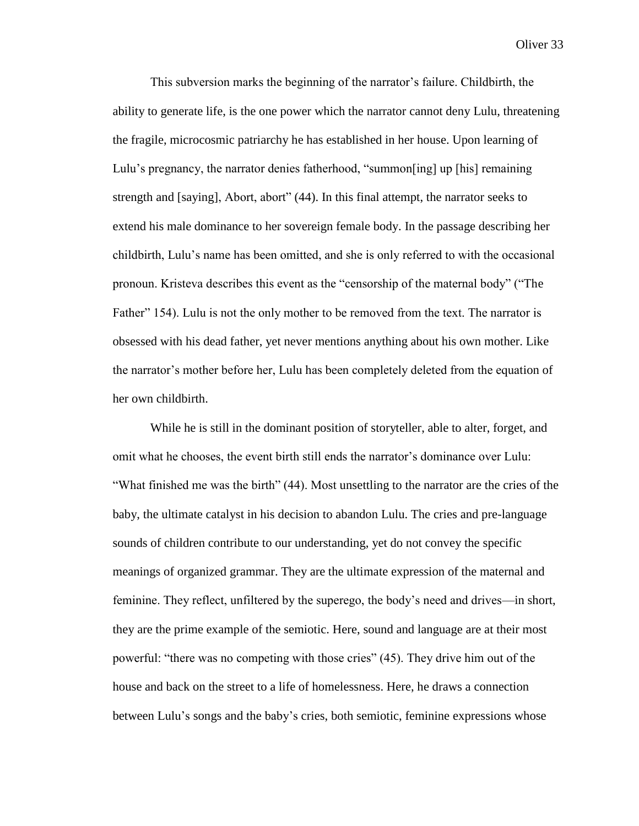This subversion marks the beginning of the narrator's failure. Childbirth, the ability to generate life, is the one power which the narrator cannot deny Lulu, threatening the fragile, microcosmic patriarchy he has established in her house. Upon learning of Lulu's pregnancy, the narrator denies fatherhood, "summon[ing] up [his] remaining strength and [saying], Abort, abort" (44). In this final attempt, the narrator seeks to extend his male dominance to her sovereign female body. In the passage describing her childbirth, Lulu's name has been omitted, and she is only referred to with the occasional pronoun. Kristeva describes this event as the "censorship of the maternal body" ("The Father" 154). Lulu is not the only mother to be removed from the text. The narrator is obsessed with his dead father, yet never mentions anything about his own mother. Like the narrator's mother before her, Lulu has been completely deleted from the equation of her own childbirth.

While he is still in the dominant position of storyteller, able to alter, forget, and omit what he chooses, the event birth still ends the narrator's dominance over Lulu: "What finished me was the birth" (44). Most unsettling to the narrator are the cries of the baby, the ultimate catalyst in his decision to abandon Lulu. The cries and pre-language sounds of children contribute to our understanding, yet do not convey the specific meanings of organized grammar. They are the ultimate expression of the maternal and feminine. They reflect, unfiltered by the superego, the body's need and drives—in short, they are the prime example of the semiotic. Here, sound and language are at their most powerful: "there was no competing with those cries" (45). They drive him out of the house and back on the street to a life of homelessness. Here, he draws a connection between Lulu's songs and the baby's cries, both semiotic, feminine expressions whose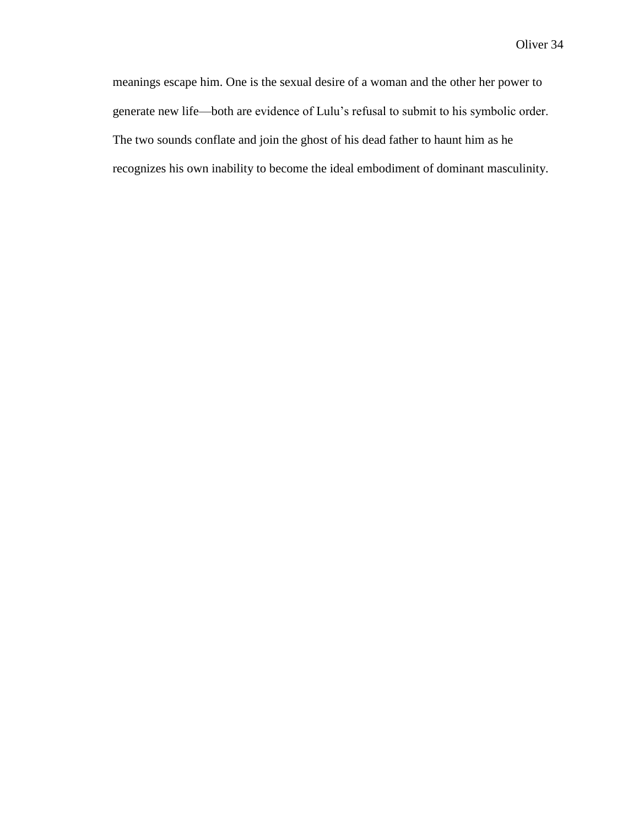meanings escape him. One is the sexual desire of a woman and the other her power to generate new life—both are evidence of Lulu's refusal to submit to his symbolic order. The two sounds conflate and join the ghost of his dead father to haunt him as he recognizes his own inability to become the ideal embodiment of dominant masculinity.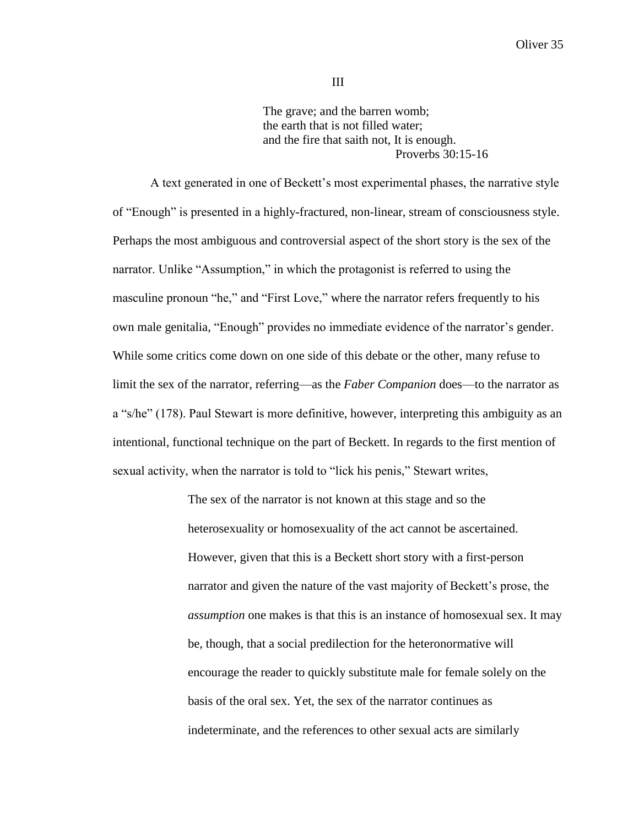The grave; and the barren womb; the earth that is not filled water; and the fire that saith not, It is enough. Proverbs 30:15-16

A text generated in one of Beckett's most experimental phases, the narrative style of "Enough" is presented in a highly-fractured, non-linear, stream of consciousness style. Perhaps the most ambiguous and controversial aspect of the short story is the sex of the narrator. Unlike "Assumption," in which the protagonist is referred to using the masculine pronoun "he," and "First Love," where the narrator refers frequently to his own male genitalia, "Enough" provides no immediate evidence of the narrator's gender. While some critics come down on one side of this debate or the other, many refuse to limit the sex of the narrator, referring—as the *Faber Companion* does—to the narrator as a "s/he" (178). Paul Stewart is more definitive, however, interpreting this ambiguity as an intentional, functional technique on the part of Beckett. In regards to the first mention of sexual activity, when the narrator is told to "lick his penis," Stewart writes,

> The sex of the narrator is not known at this stage and so the heterosexuality or homosexuality of the act cannot be ascertained. However, given that this is a Beckett short story with a first-person narrator and given the nature of the vast majority of Beckett's prose, the *assumption* one makes is that this is an instance of homosexual sex. It may be, though, that a social predilection for the heteronormative will encourage the reader to quickly substitute male for female solely on the basis of the oral sex. Yet, the sex of the narrator continues as indeterminate, and the references to other sexual acts are similarly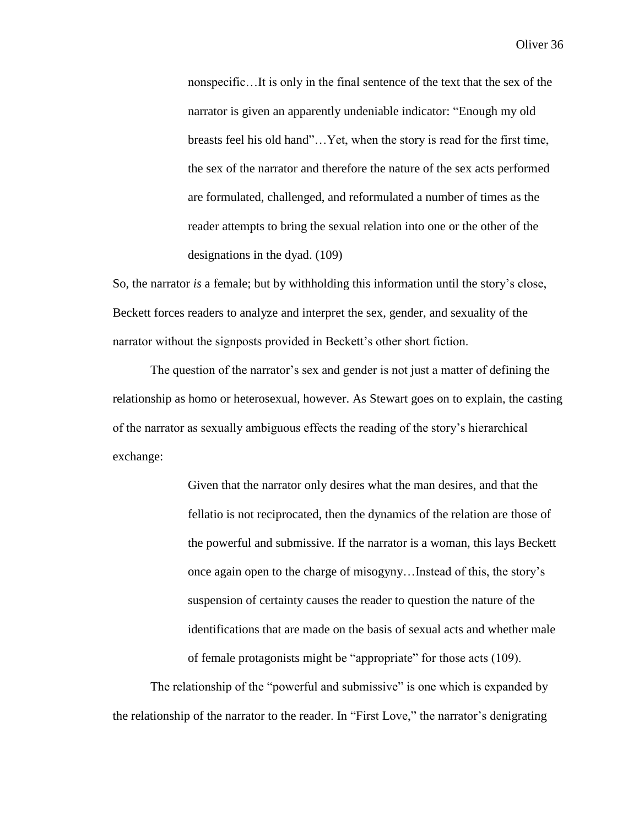nonspecific…It is only in the final sentence of the text that the sex of the narrator is given an apparently undeniable indicator: "Enough my old breasts feel his old hand"…Yet, when the story is read for the first time, the sex of the narrator and therefore the nature of the sex acts performed are formulated, challenged, and reformulated a number of times as the reader attempts to bring the sexual relation into one or the other of the designations in the dyad. (109)

So, the narrator *is* a female; but by withholding this information until the story's close, Beckett forces readers to analyze and interpret the sex, gender, and sexuality of the narrator without the signposts provided in Beckett's other short fiction.

The question of the narrator's sex and gender is not just a matter of defining the relationship as homo or heterosexual, however. As Stewart goes on to explain, the casting of the narrator as sexually ambiguous effects the reading of the story's hierarchical exchange:

> Given that the narrator only desires what the man desires, and that the fellatio is not reciprocated, then the dynamics of the relation are those of the powerful and submissive. If the narrator is a woman, this lays Beckett once again open to the charge of misogyny…Instead of this, the story's suspension of certainty causes the reader to question the nature of the identifications that are made on the basis of sexual acts and whether male of female protagonists might be "appropriate" for those acts (109).

The relationship of the "powerful and submissive" is one which is expanded by the relationship of the narrator to the reader. In "First Love," the narrator's denigrating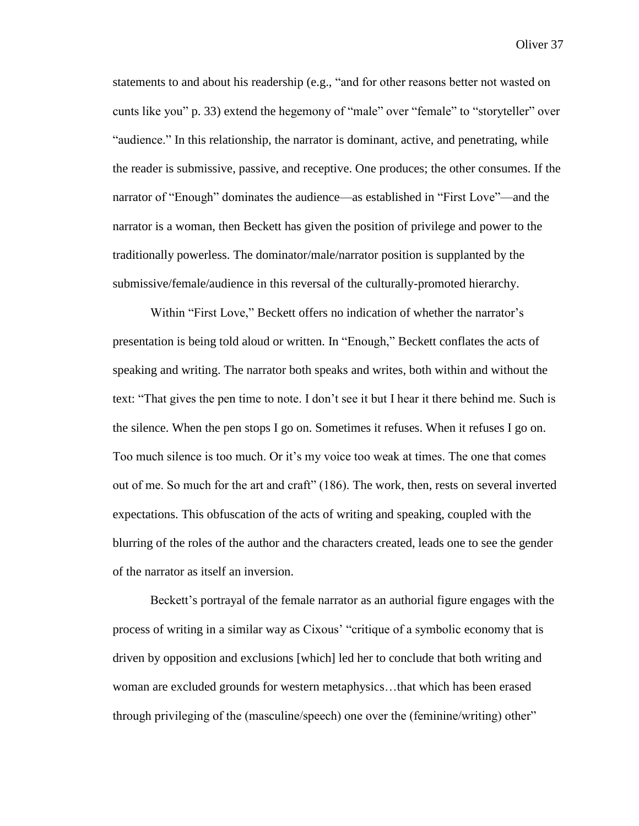statements to and about his readership (e.g., "and for other reasons better not wasted on cunts like you" p. 33) extend the hegemony of "male" over "female" to "storyteller" over "audience." In this relationship, the narrator is dominant, active, and penetrating, while the reader is submissive, passive, and receptive. One produces; the other consumes. If the narrator of "Enough" dominates the audience—as established in "First Love"—and the narrator is a woman, then Beckett has given the position of privilege and power to the traditionally powerless. The dominator/male/narrator position is supplanted by the submissive/female/audience in this reversal of the culturally-promoted hierarchy.

Within "First Love," Beckett offers no indication of whether the narrator's presentation is being told aloud or written. In "Enough," Beckett conflates the acts of speaking and writing. The narrator both speaks and writes, both within and without the text: "That gives the pen time to note. I don't see it but I hear it there behind me. Such is the silence. When the pen stops I go on. Sometimes it refuses. When it refuses I go on. Too much silence is too much. Or it's my voice too weak at times. The one that comes out of me. So much for the art and craft" (186). The work, then, rests on several inverted expectations. This obfuscation of the acts of writing and speaking, coupled with the blurring of the roles of the author and the characters created, leads one to see the gender of the narrator as itself an inversion.

Beckett's portrayal of the female narrator as an authorial figure engages with the process of writing in a similar way as Cixous' "critique of a symbolic economy that is driven by opposition and exclusions [which] led her to conclude that both writing and woman are excluded grounds for western metaphysics…that which has been erased through privileging of the (masculine/speech) one over the (feminine/writing) other"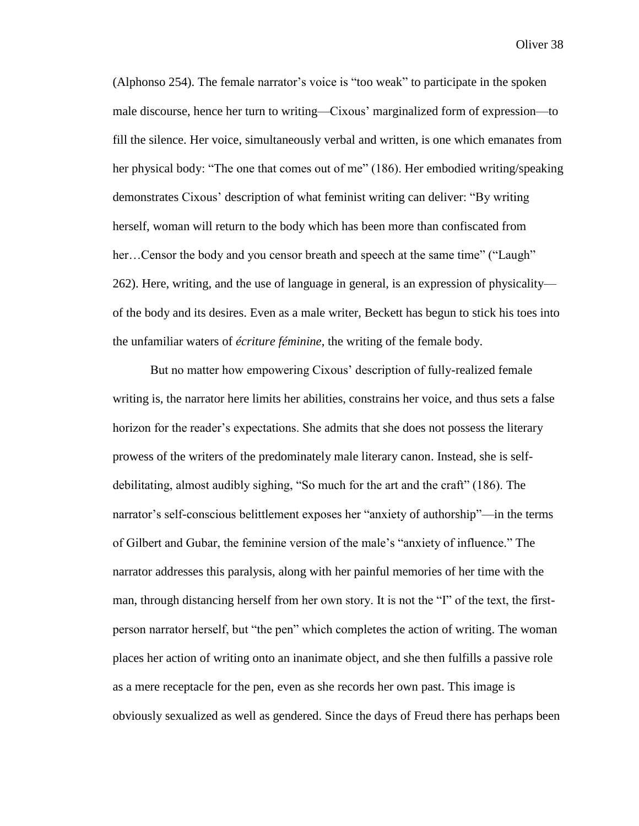(Alphonso 254). The female narrator's voice is "too weak" to participate in the spoken male discourse, hence her turn to writing—Cixous' marginalized form of expression—to fill the silence. Her voice, simultaneously verbal and written, is one which emanates from her physical body: "The one that comes out of me" (186). Her embodied writing/speaking demonstrates Cixous' description of what feminist writing can deliver: "By writing herself, woman will return to the body which has been more than confiscated from her...Censor the body and you censor breath and speech at the same time" ("Laugh" 262). Here, writing, and the use of language in general, is an expression of physicality of the body and its desires. Even as a male writer, Beckett has begun to stick his toes into the unfamiliar waters of *écriture féminine*, the writing of the female body.

But no matter how empowering Cixous' description of fully-realized female writing is, the narrator here limits her abilities, constrains her voice, and thus sets a false horizon for the reader's expectations. She admits that she does not possess the literary prowess of the writers of the predominately male literary canon. Instead, she is selfdebilitating, almost audibly sighing, "So much for the art and the craft" (186). The narrator's self-conscious belittlement exposes her "anxiety of authorship"—in the terms of Gilbert and Gubar, the feminine version of the male's "anxiety of influence." The narrator addresses this paralysis, along with her painful memories of her time with the man, through distancing herself from her own story. It is not the "I" of the text, the firstperson narrator herself, but "the pen" which completes the action of writing. The woman places her action of writing onto an inanimate object, and she then fulfills a passive role as a mere receptacle for the pen, even as she records her own past. This image is obviously sexualized as well as gendered. Since the days of Freud there has perhaps been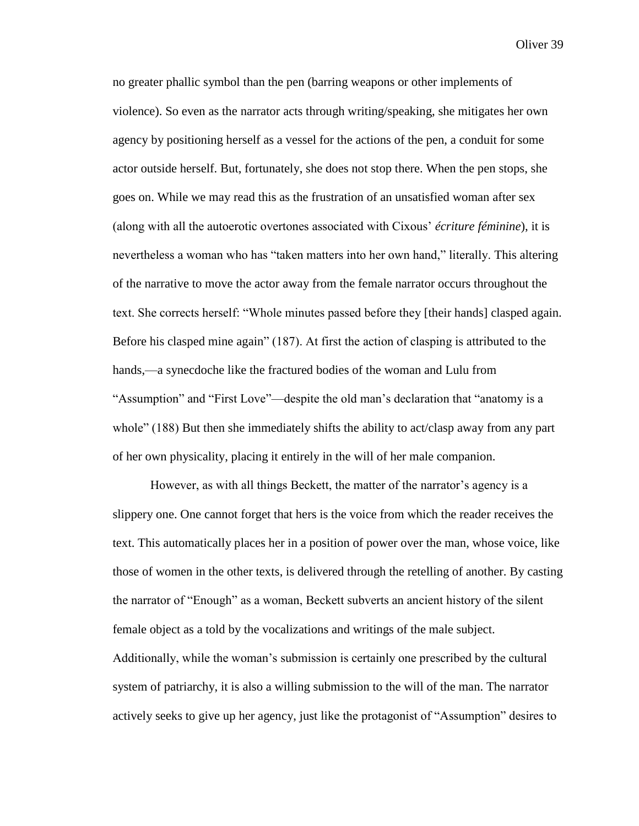no greater phallic symbol than the pen (barring weapons or other implements of violence). So even as the narrator acts through writing/speaking, she mitigates her own agency by positioning herself as a vessel for the actions of the pen, a conduit for some actor outside herself. But, fortunately, she does not stop there. When the pen stops, she goes on. While we may read this as the frustration of an unsatisfied woman after sex (along with all the autoerotic overtones associated with Cixous' *écriture féminine*), it is nevertheless a woman who has "taken matters into her own hand," literally. This altering of the narrative to move the actor away from the female narrator occurs throughout the text. She corrects herself: "Whole minutes passed before they [their hands] clasped again. Before his clasped mine again" (187). At first the action of clasping is attributed to the hands,—a synecdoche like the fractured bodies of the woman and Lulu from "Assumption" and "First Love"—despite the old man's declaration that "anatomy is a whole" (188) But then she immediately shifts the ability to act/clasp away from any part of her own physicality, placing it entirely in the will of her male companion.

However, as with all things Beckett, the matter of the narrator's agency is a slippery one. One cannot forget that hers is the voice from which the reader receives the text. This automatically places her in a position of power over the man, whose voice, like those of women in the other texts, is delivered through the retelling of another. By casting the narrator of "Enough" as a woman, Beckett subverts an ancient history of the silent female object as a told by the vocalizations and writings of the male subject. Additionally, while the woman's submission is certainly one prescribed by the cultural system of patriarchy, it is also a willing submission to the will of the man. The narrator actively seeks to give up her agency, just like the protagonist of "Assumption" desires to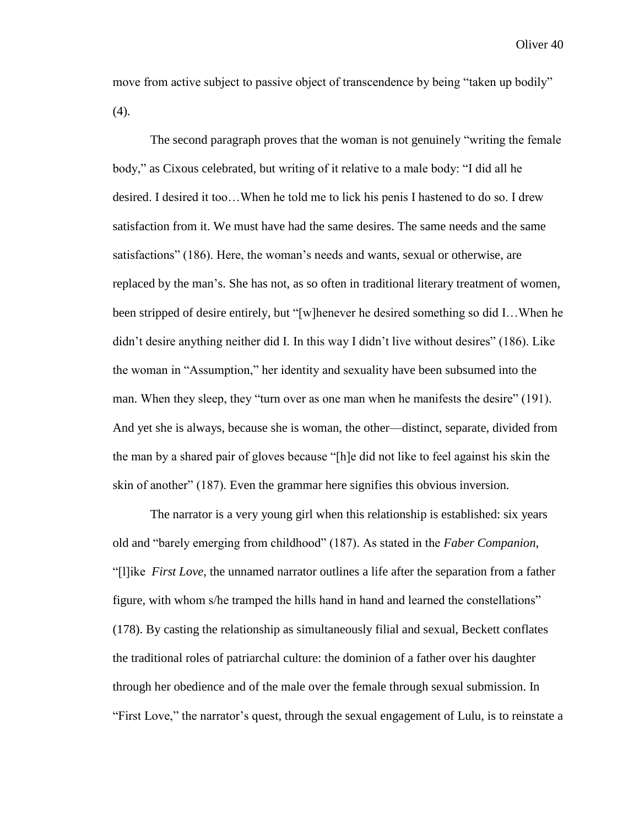move from active subject to passive object of transcendence by being "taken up bodily" (4).

The second paragraph proves that the woman is not genuinely "writing the female body," as Cixous celebrated, but writing of it relative to a male body: "I did all he desired. I desired it too…When he told me to lick his penis I hastened to do so. I drew satisfaction from it. We must have had the same desires. The same needs and the same satisfactions" (186). Here, the woman's needs and wants, sexual or otherwise, are replaced by the man's. She has not, as so often in traditional literary treatment of women, been stripped of desire entirely, but "[w]henever he desired something so did I…When he didn't desire anything neither did I. In this way I didn't live without desires" (186). Like the woman in "Assumption," her identity and sexuality have been subsumed into the man. When they sleep, they "turn over as one man when he manifests the desire" (191). And yet she is always, because she is woman, the other—distinct, separate, divided from the man by a shared pair of gloves because "[h]e did not like to feel against his skin the skin of another" (187). Even the grammar here signifies this obvious inversion.

The narrator is a very young girl when this relationship is established: six years old and "barely emerging from childhood" (187). As stated in the *Faber Companion*, "[l]ike *First Love*, the unnamed narrator outlines a life after the separation from a father figure, with whom s/he tramped the hills hand in hand and learned the constellations" (178). By casting the relationship as simultaneously filial and sexual, Beckett conflates the traditional roles of patriarchal culture: the dominion of a father over his daughter through her obedience and of the male over the female through sexual submission. In "First Love," the narrator's quest, through the sexual engagement of Lulu, is to reinstate a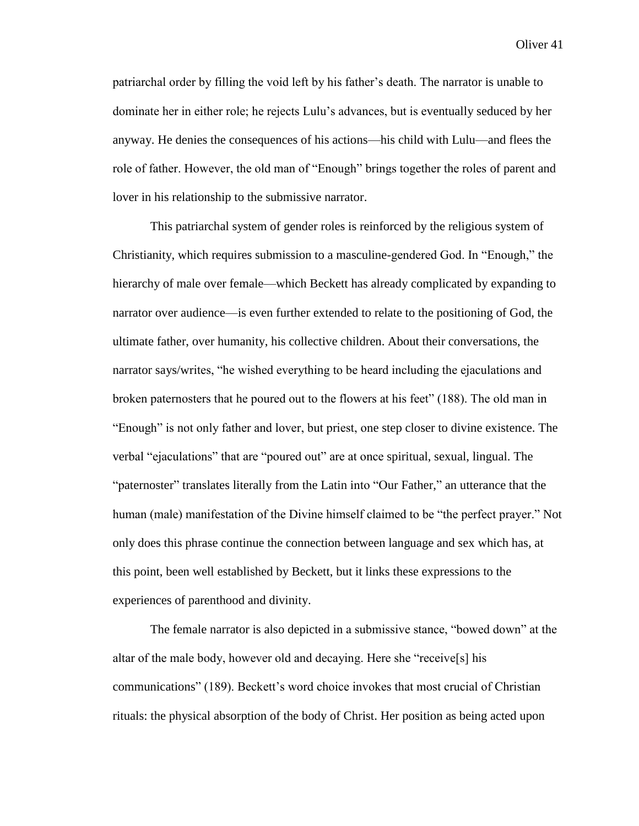patriarchal order by filling the void left by his father's death. The narrator is unable to dominate her in either role; he rejects Lulu's advances, but is eventually seduced by her anyway. He denies the consequences of his actions—his child with Lulu—and flees the role of father. However, the old man of "Enough" brings together the roles of parent and lover in his relationship to the submissive narrator.

This patriarchal system of gender roles is reinforced by the religious system of Christianity, which requires submission to a masculine-gendered God. In "Enough," the hierarchy of male over female—which Beckett has already complicated by expanding to narrator over audience—is even further extended to relate to the positioning of God, the ultimate father, over humanity, his collective children. About their conversations, the narrator says/writes, "he wished everything to be heard including the ejaculations and broken paternosters that he poured out to the flowers at his feet" (188). The old man in "Enough" is not only father and lover, but priest, one step closer to divine existence. The verbal "ejaculations" that are "poured out" are at once spiritual, sexual, lingual. The "paternoster" translates literally from the Latin into "Our Father," an utterance that the human (male) manifestation of the Divine himself claimed to be "the perfect prayer." Not only does this phrase continue the connection between language and sex which has, at this point, been well established by Beckett, but it links these expressions to the experiences of parenthood and divinity.

The female narrator is also depicted in a submissive stance, "bowed down" at the altar of the male body, however old and decaying. Here she "receive[s] his communications" (189). Beckett's word choice invokes that most crucial of Christian rituals: the physical absorption of the body of Christ. Her position as being acted upon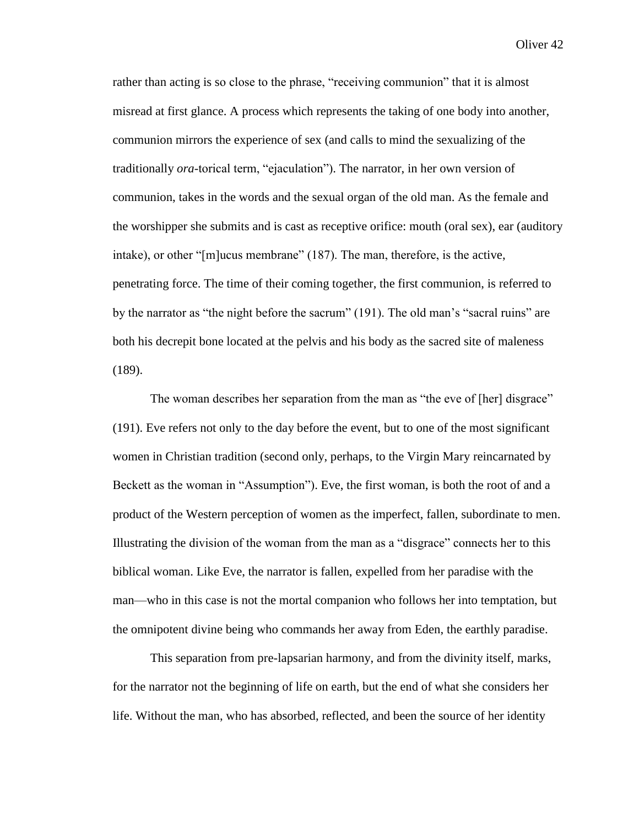rather than acting is so close to the phrase, "receiving communion" that it is almost misread at first glance. A process which represents the taking of one body into another, communion mirrors the experience of sex (and calls to mind the sexualizing of the traditionally *ora*-torical term, "ejaculation"). The narrator, in her own version of communion, takes in the words and the sexual organ of the old man. As the female and the worshipper she submits and is cast as receptive orifice: mouth (oral sex), ear (auditory intake), or other "[m]ucus membrane" (187). The man, therefore, is the active, penetrating force. The time of their coming together, the first communion, is referred to by the narrator as "the night before the sacrum" (191). The old man's "sacral ruins" are both his decrepit bone located at the pelvis and his body as the sacred site of maleness (189).

The woman describes her separation from the man as "the eve of [her] disgrace" (191). Eve refers not only to the day before the event, but to one of the most significant women in Christian tradition (second only, perhaps, to the Virgin Mary reincarnated by Beckett as the woman in "Assumption"). Eve, the first woman, is both the root of and a product of the Western perception of women as the imperfect, fallen, subordinate to men. Illustrating the division of the woman from the man as a "disgrace" connects her to this biblical woman. Like Eve, the narrator is fallen, expelled from her paradise with the man—who in this case is not the mortal companion who follows her into temptation, but the omnipotent divine being who commands her away from Eden, the earthly paradise.

This separation from pre-lapsarian harmony, and from the divinity itself, marks, for the narrator not the beginning of life on earth, but the end of what she considers her life. Without the man, who has absorbed, reflected, and been the source of her identity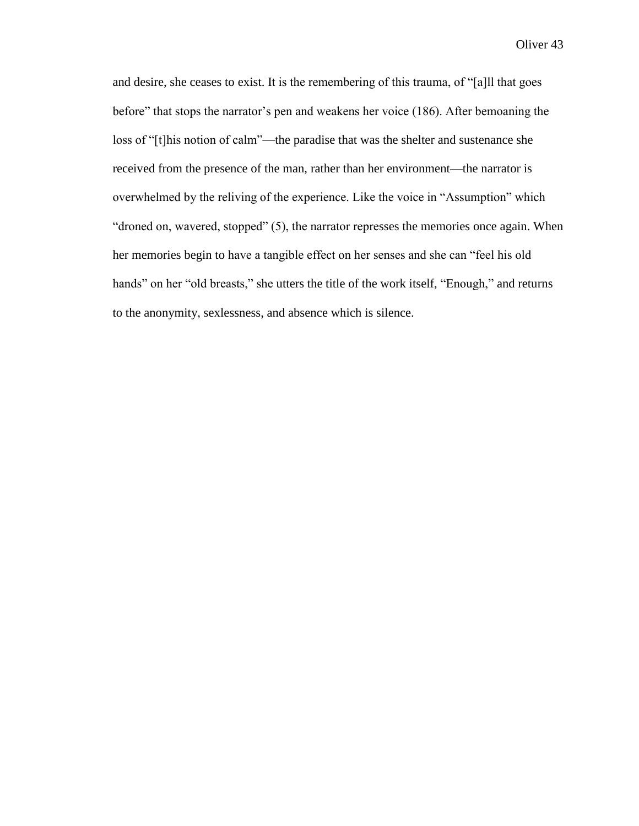and desire, she ceases to exist. It is the remembering of this trauma, of "[a]ll that goes before" that stops the narrator's pen and weakens her voice (186). After bemoaning the loss of "[t]his notion of calm"—the paradise that was the shelter and sustenance she received from the presence of the man, rather than her environment—the narrator is overwhelmed by the reliving of the experience. Like the voice in "Assumption" which "droned on, wavered, stopped" (5), the narrator represses the memories once again. When her memories begin to have a tangible effect on her senses and she can "feel his old hands" on her "old breasts," she utters the title of the work itself, "Enough," and returns to the anonymity, sexlessness, and absence which is silence.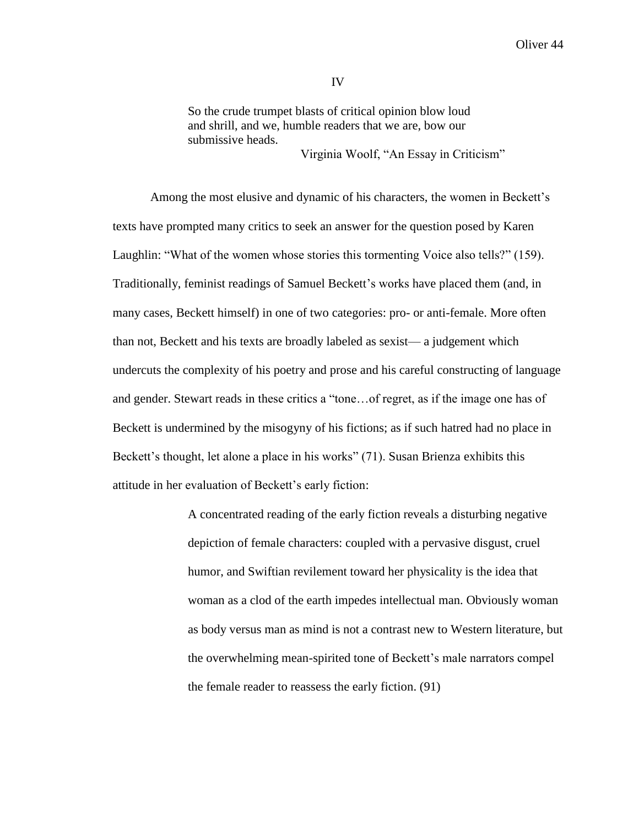So the crude trumpet blasts of critical opinion blow loud and shrill, and we, humble readers that we are, bow our submissive heads.

Virginia Woolf, "An Essay in Criticism"

Among the most elusive and dynamic of his characters, the women in Beckett's texts have prompted many critics to seek an answer for the question posed by Karen Laughlin: "What of the women whose stories this tormenting Voice also tells?" (159). Traditionally, feminist readings of Samuel Beckett's works have placed them (and, in many cases, Beckett himself) in one of two categories: pro- or anti-female. More often than not, Beckett and his texts are broadly labeled as sexist— a judgement which undercuts the complexity of his poetry and prose and his careful constructing of language and gender. Stewart reads in these critics a "tone…of regret, as if the image one has of Beckett is undermined by the misogyny of his fictions; as if such hatred had no place in Beckett's thought, let alone a place in his works" (71). Susan Brienza exhibits this attitude in her evaluation of Beckett's early fiction:

> A concentrated reading of the early fiction reveals a disturbing negative depiction of female characters: coupled with a pervasive disgust, cruel humor, and Swiftian revilement toward her physicality is the idea that woman as a clod of the earth impedes intellectual man. Obviously woman as body versus man as mind is not a contrast new to Western literature, but the overwhelming mean-spirited tone of Beckett's male narrators compel the female reader to reassess the early fiction. (91)

IV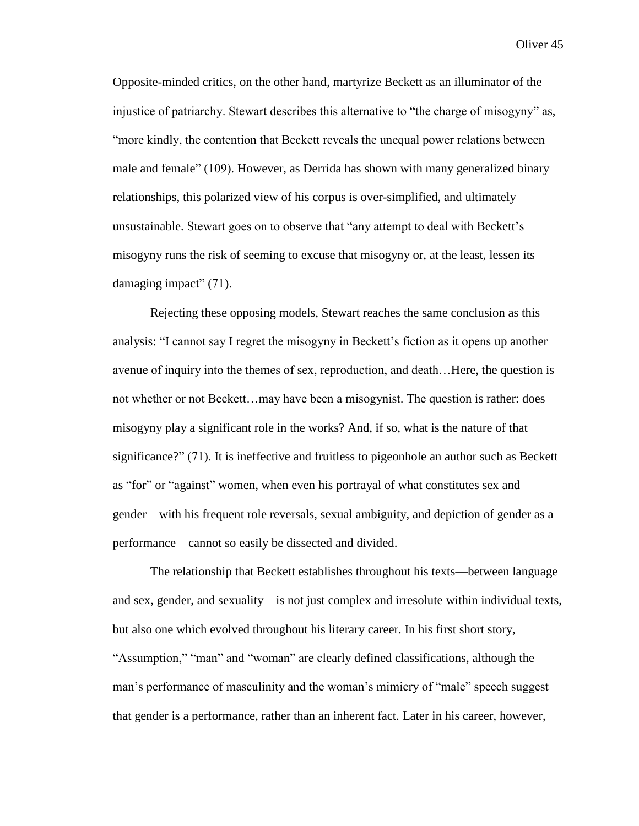Opposite-minded critics, on the other hand, martyrize Beckett as an illuminator of the injustice of patriarchy. Stewart describes this alternative to "the charge of misogyny" as, "more kindly, the contention that Beckett reveals the unequal power relations between male and female" (109). However, as Derrida has shown with many generalized binary relationships, this polarized view of his corpus is over-simplified, and ultimately unsustainable. Stewart goes on to observe that "any attempt to deal with Beckett's misogyny runs the risk of seeming to excuse that misogyny or, at the least, lessen its damaging impact" (71).

Rejecting these opposing models, Stewart reaches the same conclusion as this analysis: "I cannot say I regret the misogyny in Beckett's fiction as it opens up another avenue of inquiry into the themes of sex, reproduction, and death…Here, the question is not whether or not Beckett…may have been a misogynist. The question is rather: does misogyny play a significant role in the works? And, if so, what is the nature of that significance?" (71). It is ineffective and fruitless to pigeonhole an author such as Beckett as "for" or "against" women, when even his portrayal of what constitutes sex and gender—with his frequent role reversals, sexual ambiguity, and depiction of gender as a performance—cannot so easily be dissected and divided.

The relationship that Beckett establishes throughout his texts—between language and sex, gender, and sexuality—is not just complex and irresolute within individual texts, but also one which evolved throughout his literary career. In his first short story, "Assumption," "man" and "woman" are clearly defined classifications, although the man's performance of masculinity and the woman's mimicry of "male" speech suggest that gender is a performance, rather than an inherent fact. Later in his career, however,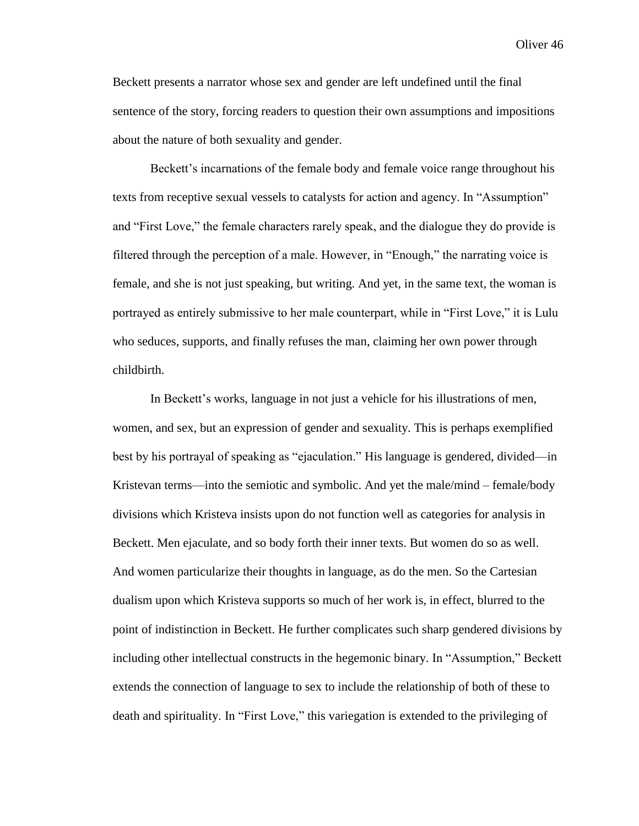Beckett presents a narrator whose sex and gender are left undefined until the final sentence of the story, forcing readers to question their own assumptions and impositions about the nature of both sexuality and gender.

Beckett's incarnations of the female body and female voice range throughout his texts from receptive sexual vessels to catalysts for action and agency. In "Assumption" and "First Love," the female characters rarely speak, and the dialogue they do provide is filtered through the perception of a male. However, in "Enough," the narrating voice is female, and she is not just speaking, but writing. And yet, in the same text, the woman is portrayed as entirely submissive to her male counterpart, while in "First Love," it is Lulu who seduces, supports, and finally refuses the man, claiming her own power through childbirth.

In Beckett's works, language in not just a vehicle for his illustrations of men, women, and sex, but an expression of gender and sexuality. This is perhaps exemplified best by his portrayal of speaking as "ejaculation." His language is gendered, divided—in Kristevan terms—into the semiotic and symbolic. And yet the male/mind – female/body divisions which Kristeva insists upon do not function well as categories for analysis in Beckett. Men ejaculate, and so body forth their inner texts. But women do so as well. And women particularize their thoughts in language, as do the men. So the Cartesian dualism upon which Kristeva supports so much of her work is, in effect, blurred to the point of indistinction in Beckett. He further complicates such sharp gendered divisions by including other intellectual constructs in the hegemonic binary. In "Assumption," Beckett extends the connection of language to sex to include the relationship of both of these to death and spirituality. In "First Love," this variegation is extended to the privileging of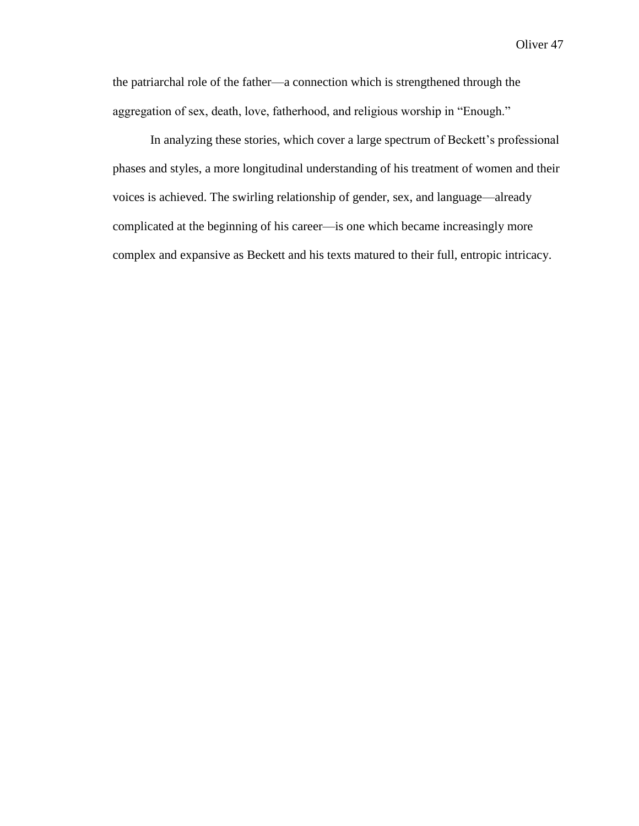the patriarchal role of the father—a connection which is strengthened through the aggregation of sex, death, love, fatherhood, and religious worship in "Enough."

In analyzing these stories, which cover a large spectrum of Beckett's professional phases and styles, a more longitudinal understanding of his treatment of women and their voices is achieved. The swirling relationship of gender, sex, and language—already complicated at the beginning of his career—is one which became increasingly more complex and expansive as Beckett and his texts matured to their full, entropic intricacy.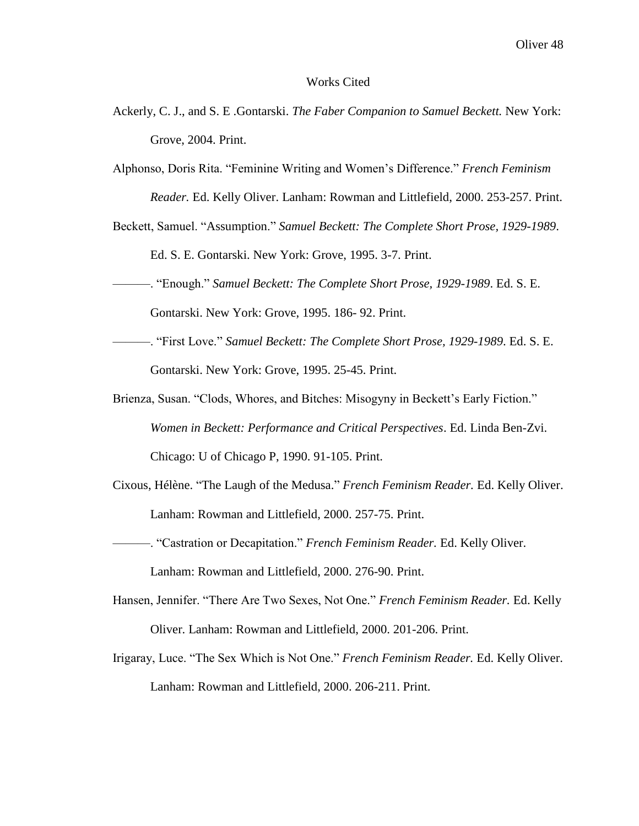#### Works Cited

- Ackerly, C. J., and S. E .Gontarski. *The Faber Companion to Samuel Beckett.* New York: Grove, 2004. Print.
- Alphonso, Doris Rita. "Feminine Writing and Women's Difference." *French Feminism Reader.* Ed. Kelly Oliver. Lanham: Rowman and Littlefield, 2000. 253-257. Print.
- Beckett, Samuel. "Assumption." *Samuel Beckett: The Complete Short Prose, 1929-1989*. Ed. S. E. Gontarski. New York: Grove, 1995. 3-7. Print.
- ———. "Enough." *Samuel Beckett: The Complete Short Prose, 1929-1989*. Ed. S. E. Gontarski. New York: Grove, 1995. 186- 92. Print.
- ———. "First Love." *Samuel Beckett: The Complete Short Prose, 1929-1989*. Ed. S. E. Gontarski. New York: Grove, 1995. 25-45. Print.
- Brienza, Susan. "Clods, Whores, and Bitches: Misogyny in Beckett's Early Fiction." *Women in Beckett: Performance and Critical Perspectives*. Ed. Linda Ben-Zvi. Chicago: U of Chicago P, 1990. 91-105. Print.
- Cixous, Hélène. "The Laugh of the Medusa." *French Feminism Reader.* Ed. Kelly Oliver. Lanham: Rowman and Littlefield, 2000. 257-75. Print.
- ———. "Castration or Decapitation." *French Feminism Reader.* Ed. Kelly Oliver. Lanham: Rowman and Littlefield, 2000. 276-90. Print.
- Hansen, Jennifer. "There Are Two Sexes, Not One." *French Feminism Reader.* Ed. Kelly Oliver. Lanham: Rowman and Littlefield, 2000. 201-206. Print.
- Irigaray, Luce. "The Sex Which is Not One." *French Feminism Reader.* Ed. Kelly Oliver. Lanham: Rowman and Littlefield, 2000. 206-211. Print.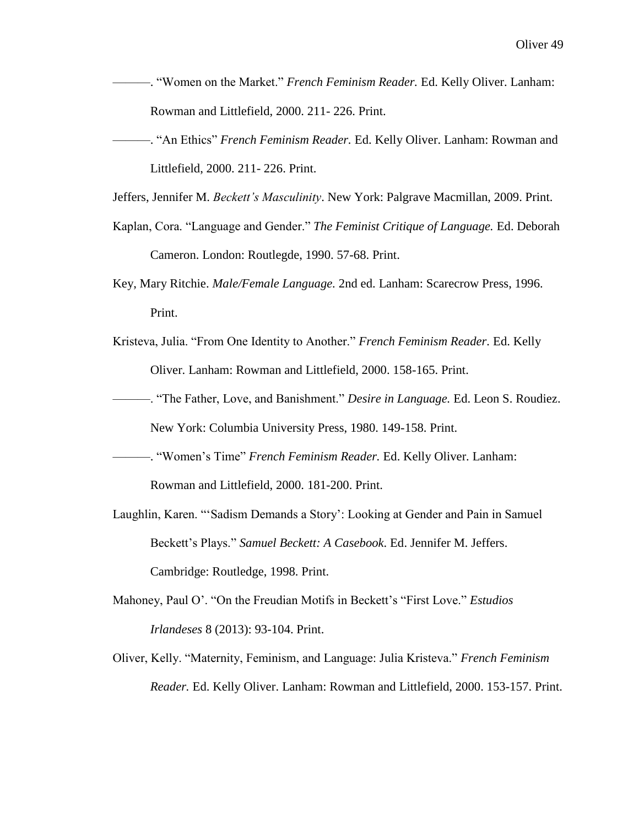- ———. "Women on the Market." *French Feminism Reader.* Ed. Kelly Oliver. Lanham: Rowman and Littlefield, 2000. 211- 226. Print.
- ———. "An Ethics" *French Feminism Reader.* Ed. Kelly Oliver. Lanham: Rowman and Littlefield, 2000. 211- 226. Print.

Jeffers, Jennifer M. *Beckett's Masculinity*. New York: Palgrave Macmillan, 2009. Print.

- Kaplan, Cora. "Language and Gender." *The Feminist Critique of Language.* Ed. Deborah Cameron. London: Routlegde, 1990. 57-68. Print.
- Key, Mary Ritchie. *Male/Female Language.* 2nd ed. Lanham: Scarecrow Press, 1996. Print.
- Kristeva, Julia. "From One Identity to Another." *French Feminism Reader.* Ed. Kelly Oliver. Lanham: Rowman and Littlefield, 2000. 158-165. Print.
- ———. "The Father, Love, and Banishment." *Desire in Language.* Ed. Leon S. Roudiez. New York: Columbia University Press, 1980. 149-158. Print.
- ———. "Women's Time" *French Feminism Reader.* Ed. Kelly Oliver. Lanham: Rowman and Littlefield, 2000. 181-200. Print.
- Laughlin, Karen. "'Sadism Demands a Story': Looking at Gender and Pain in Samuel Beckett's Plays." *Samuel Beckett: A Casebook*. Ed. Jennifer M. Jeffers. Cambridge: Routledge, 1998. Print.
- Mahoney, Paul O'. "On the Freudian Motifs in Beckett's "First Love." *Estudios Irlandeses* 8 (2013): 93-104. Print.
- Oliver, Kelly. "Maternity, Feminism, and Language: Julia Kristeva." *French Feminism Reader.* Ed. Kelly Oliver. Lanham: Rowman and Littlefield, 2000. 153-157. Print.